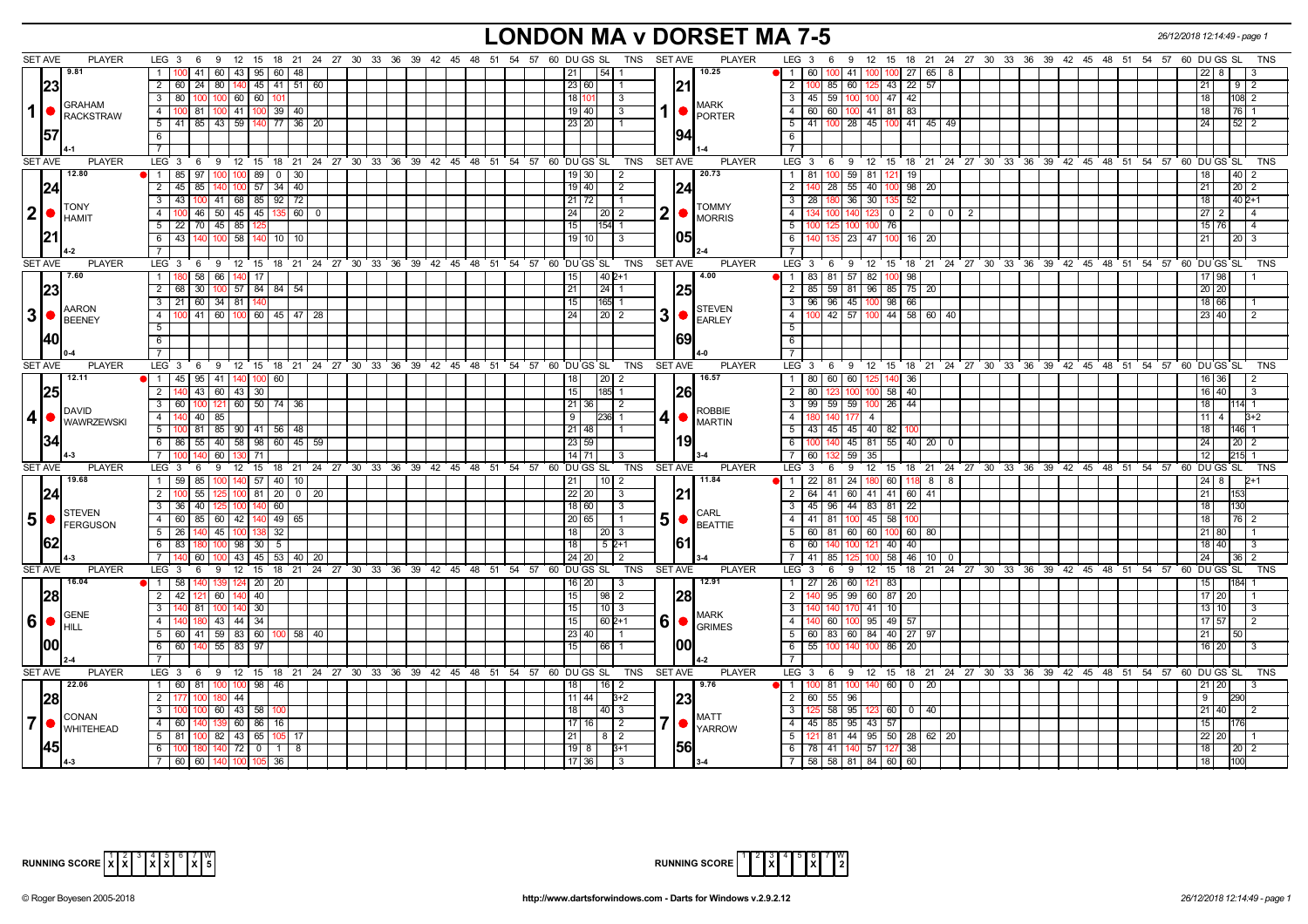# **LONDON MA v DORSET MA 7-5** *26/12/2018 12:14:49 - page 1*

|                | <b>SET AVE</b>   | <b>PLAYER</b>     | $LEG_36$<br>9 12                                                                |          |          |  |  |  |                         | 15 18 21 24 27 30 33 36 39 42 45 48 51 54 57 60 DUGS SL TNS SETAVE |                |      | <b>PLAYER</b>          | LEG <sub>3</sub><br>12 15 18 21 24 27 30 33 36 39 42 45 48 51 54 57 60 DUGS SL<br>- 6<br>9<br>TNS                                          |
|----------------|------------------|-------------------|---------------------------------------------------------------------------------|----------|----------|--|--|--|-------------------------|--------------------------------------------------------------------|----------------|------|------------------------|--------------------------------------------------------------------------------------------------------------------------------------------|
|                | 9.81             |                   | $1 \quad 100 \quad 41$<br>  60   43   95   60   48                              |          |          |  |  |  | 21                      | l 54 I                                                             |                |      | 10.25                  | 41<br>27   65   8<br>-60 I<br>22 I                                                                                                         |
|                | 23               |                   | 2 60 24 80 140 45 41 51 60                                                      |          |          |  |  |  | 23 60                   |                                                                    |                |      |                        | $\overline{2}$<br>21<br>$9 \mid 2$                                                                                                         |
|                |                  |                   | $3 \mid 80$<br>$100$ 60 60<br>l 100                                             |          |          |  |  |  | 18 110                  | -3                                                                 |                |      |                        | $\overline{3}$<br>45 59 100 100 47 42<br>18 <sup>1</sup><br>108 2                                                                          |
| 1              | <b>GRAHAM</b>    |                   | 4 100 81 100 41 100 39 40                                                       |          |          |  |  |  | 19 40                   | 3                                                                  |                |      | <b>MARK</b>            | $\overline{4}$<br>60 60 100 41 81 83<br>$76$ 1<br>18 <sup>1</sup>                                                                          |
|                |                  | RACKSTRAW         | 5 41 85 43 59 140 77 36 20                                                      |          |          |  |  |  | 23 20                   |                                                                    |                |      | <b>PORTER</b>          | $\overline{5}$<br>41   100   28   45   100   41   45   49  <br>$52$   2<br>24                                                              |
|                | 157              |                   | 6                                                                               |          |          |  |  |  |                         |                                                                    |                |      |                        | 6                                                                                                                                          |
|                |                  |                   |                                                                                 |          |          |  |  |  |                         |                                                                    |                |      |                        |                                                                                                                                            |
|                | <b>SET AVE</b>   | <b>PLAYER</b>     | LEG 3 6 9 12 15 18 21 24 27 30 33 36 39 42 45 48 51 54 57 60 DUGS SL TNS        |          |          |  |  |  |                         |                                                                    | <b>SET AVE</b> |      | <b>PLAYER</b>          | LEG <sup>3</sup><br>6 9 12 15 18 21 24 27 30 33 36 39 42 45 48 51 54 57 60 DUGS SL<br><b>TNS</b>                                           |
|                | 12.80            |                   | 1 85 97 100 100 89 0 30                                                         |          |          |  |  |  | $19$ 30                 | l 2                                                                |                |      | 20.73                  | 81 100 59 81 121 19<br>$\mathbf{1}$<br>$40 \mid 2$<br>18 I                                                                                 |
|                | 124              |                   | 140 100 57 34 40<br>$2 \mid 45$<br>85                                           |          |          |  |  |  | $19$ 40                 | $\vert$ 2                                                          |                | 124  |                        | $\overline{2}$<br>55 40 100 98 20<br>28<br>21<br>$20 \mid 2$                                                                               |
|                |                  |                   | $3 \mid 43$<br>41 68 85 92 72<br>100                                            |          |          |  |  |  | 21 72                   | $\vert$ 1                                                          |                |      |                        | 36<br>52<br>18<br>$402+1$<br>$\overline{3}$<br>30 <sup>1</sup><br>28 <sup>1</sup>                                                          |
| 2              | <b>TONY</b>      |                   | 46 50 45 45 135 60<br>4 I<br>100                                                |          | $\Omega$ |  |  |  | 24 L                    | 20   2                                                             | 2              |      | <b>TOMMY</b>           | 200<br>$\overline{4}$<br>140<br>$\overline{\phantom{0}}$ 0 $\overline{\phantom{0}}$<br>27 <sup>2</sup><br>$\overline{4}$<br>$\overline{2}$ |
|                | HAMIT            |                   | 5 22 70 45 85                                                                   |          |          |  |  |  | 15 I                    | 154 1                                                              |                |      | <b>MORRIS</b>          | 5<br>15 76<br>100 76<br>100                                                                                                                |
|                |                  |                   | 6 43 140<br>100 58 140 10 10                                                    |          |          |  |  |  | $19$ 10                 | 3                                                                  |                | 1051 |                        | 6<br>  23   47   100   16   20<br>21<br>2013                                                                                               |
|                |                  |                   | $\overline{7}$                                                                  |          |          |  |  |  |                         |                                                                    |                |      |                        | $\overline{7}$                                                                                                                             |
|                | <b>SET AVE</b>   | <b>PLAYER</b>     | $LEG_3$ 6<br>9 12 15 18 21 24 27 30 33 36 39 42 45 48 51 54 57 60 DUGS SL       |          |          |  |  |  |                         | TNS                                                                | SET AVE        |      | <b>PLAYER</b>          | LEG 3 6 9 12 15 18 21 24 27 30 33 36 39 42 45 48 51 54 57 60 DUGS SL<br>TNS                                                                |
|                | 7.60             |                   | 58<br>66<br>1 180<br>140                                                        | 17       |          |  |  |  | 15                      | $140$ 2+1                                                          |                |      | 4.00                   | $\overline{1}$<br>$83 \mid 81$<br>57<br>82<br>98<br>17 98                                                                                  |
|                |                  |                   | 2 68 30 100 57 84 84 54                                                         |          |          |  |  |  | 21                      | $24$ 1                                                             |                |      |                        | 85   59   81   96   85   75   20<br>$\overline{2}$<br>$20$ 20                                                                              |
|                | 23               |                   | $3$   21   60   34   81   140                                                   |          |          |  |  |  | 15                      | $165$ 1                                                            |                |      |                        | $\overline{\mathbf{3}}$<br>96 96 45 100 98 66<br>18 66                                                                                     |
| 3 <sup>l</sup> | <b>AARON</b>     |                   | 4 100 41 60 100 60 45 47 28                                                     |          |          |  |  |  | 24                      | $\boxed{20}$ 2                                                     | 3              |      | <b>STEVEN</b>          | $\overline{4}$<br>42 57 100 44 58 60 40<br>23 40                                                                                           |
|                | BEENEY           |                   | 5 <sup>1</sup>                                                                  |          |          |  |  |  |                         |                                                                    |                |      | <b>EARLEY</b>          | $\overline{5}$                                                                                                                             |
|                | 140              |                   | $6\overline{6}$                                                                 |          |          |  |  |  |                         |                                                                    |                | 69   |                        | 6                                                                                                                                          |
|                |                  |                   | $\overline{7}$                                                                  |          |          |  |  |  |                         |                                                                    |                |      |                        | $\overline{7}$                                                                                                                             |
|                | <b>SET AVE</b>   | <b>PLAYER</b>     | LEG 3 6 9 12 15 18 21 24 27 30 33 36 39 42 45 48 51 54 57 60 DUGS SL            |          |          |  |  |  |                         | TNS SET AVE                                                        |                |      | <b>PLAYER</b>          | LEG 3 6 9 12 15 18 21 24 27 30 33 36 39 42 45 48 51 54 57 60 DUGS SL<br><b>TNS</b>                                                         |
|                | 12.11            |                   | $\bullet$   1   45   95   41   140   100   60                                   |          |          |  |  |  | 18 I                    |                                                                    |                |      | 16.57                  | 1   80   60   60   125   140  <br>36<br>16 36<br>$\overline{2}$                                                                            |
|                | 25               |                   | 2 140<br>43 60 43 30                                                            |          |          |  |  |  | 15                      | 185I 1                                                             |                | 1261 |                        | $\overline{2}$<br>80<br>$58$ 40<br>16 40<br>10 <sup>c</sup><br>l 3                                                                         |
|                |                  |                   | $3$ 60<br>100 121 60 50 74 36                                                   |          |          |  |  |  | $21 \,   \, 36 \rangle$ | l 2                                                                |                |      |                        | $99$ 59 59 $100$ 26 44<br>$\overline{\mathbf{3}}$<br>18<br>14 1                                                                            |
| 4              | <b>DAVID</b>     |                   | 4 140 40 85                                                                     |          |          |  |  |  | 9 I                     | <b>236 1</b>                                                       | 4              |      | <b>ROBBIE</b>          | $\overline{4}$<br>140 177<br>11   4<br>4 <sup>1</sup><br>$3+2$                                                                             |
|                |                  | <b>WAWRZEWSKI</b> | 5 100 81 85 90 41 56 48                                                         |          |          |  |  |  | $21$ 48                 |                                                                    |                |      | <b>MARTIN</b>          | $\overline{5}$<br>43 45 45 40 82 100<br>$146$ 1<br>18 <sup>1</sup>                                                                         |
|                |                  |                   | 6 86 55 40 58 98 60 45 59                                                       |          |          |  |  |  | 23 59                   |                                                                    |                |      |                        | 6<br>100 140 45 81 55 40 20 0<br>24<br>$20 \mid 2$                                                                                         |
|                |                  |                   | 7 <sup>1</sup><br>60 130 71<br>140                                              |          |          |  |  |  | 14   71                 | -3                                                                 |                |      |                        | 59<br>$\overline{7}$<br>12<br>215<br>-60 I<br>35                                                                                           |
|                | <b>SET AVE</b>   | <b>PLAYER</b>     | LEG 3<br>- 6                                                                    |          |          |  |  |  |                         | 9 12 15 18 21 24 27 30 33 36 39 42 45 48 51 54 57 60 DUGS SL TNS   | SET AVE        |      | <b>PLAYER</b>          | LEG <sub>3</sub><br>9<br>12 15 18 21 24 27 30 33 36 39 42 45 48 51 54 57 60 DUGS SL<br><b>TNS</b><br>6                                     |
|                | 19.68            |                   | 100 140 57 40 10<br>1 59<br>85                                                  |          |          |  |  |  | 21                      | $10$   2                                                           |                |      | 11.84                  | 22 81 24 180 60 118 8 8<br>$\overline{1}$<br>24 8<br>$2+1$                                                                                 |
|                |                  |                   | 55<br>2 <sup>1</sup><br>$25 \mid 100 \mid 81 \mid 20 \mid 0 \mid 20$            |          |          |  |  |  | 22 20                   | 3                                                                  |                | 121  |                        | 2<br>64 41 60 41 41 60 41<br>21<br>153                                                                                                     |
|                |                  |                   | 3 36 40<br>251100<br>-140                                                       | 60       |          |  |  |  | 18 60                   | l 3                                                                |                |      |                        | 45   96   44   83   81   22<br>3<br>18<br>130                                                                                              |
|                | <b>STEVEN</b>    |                   | 85<br>60 42 140<br>4 60                                                         | 49 65    |          |  |  |  | 20 65                   |                                                                    | 5              |      | CARL<br><b>BEATTIE</b> | $\overline{4}$<br>41   81   100 45   58<br>18<br>76   2                                                                                    |
|                |                  |                   | $5 \mid 26$<br>45<br>140<br>100                                                 | 32       |          |  |  |  | 18 <sup>1</sup>         | 2013                                                               |                |      |                        | 5<br>60 81 60 60 100 60 80<br>21 80                                                                                                        |
|                |                  |                   | 6   83<br>100  98   30                                                          | 5        |          |  |  |  | 18 I                    | 5 2+1                                                              |                | 161  |                        | 6<br>121 40 40<br>∣ 60 I<br>10C<br>18 40<br>I 3                                                                                            |
|                |                  |                   | 100 43 45 53 40 20<br>60                                                        |          |          |  |  |  | 24 20                   | $\overline{2}$                                                     |                |      |                        | $58$ 46 10 0<br>41   85  <br>24<br>$36 \mid 2$                                                                                             |
|                | SET AVE          | PLAYER            | $LEG \ 3$<br>$12$ 15<br>6<br>9                                                  |          |          |  |  |  |                         | 18 21 24 27 30 33 36 39 42 45 48 51 54 57 60 DUGS SL TNS           | <b>SET AVE</b> |      | <b>PLAYER</b>          | LEG <sup>3</sup><br>12 15 18 21 24 27 30 33 36 39 42 45 48 51 54 57 60 DUGS SL<br>TNS<br>6<br>9                                            |
|                | 16.04            |                   | 1 58<br>139 124 20 20                                                           |          |          |  |  |  | 16   20                 | l 3                                                                |                |      | 12.91                  | 27   26   60   121   83  <br>15 <sup>1</sup><br>$\mathbf{1}$<br>1841                                                                       |
|                | 28               |                   | 2 42 121<br>60 140 40                                                           |          |          |  |  |  | 15                      | $\boxed{98}$ 2                                                     |                | 28   |                        | $\overline{2}$<br>$95 \mid 99 \mid 60 \mid 87 \mid 20$<br>17 20                                                                            |
|                |                  |                   | 3 140 81<br>100 140 30                                                          |          |          |  |  |  | 15                      | $10$   3                                                           |                |      | <b>MARK</b>            | $\overline{3}$<br>$41 \overline{10}$<br>13 10<br>140<br>170<br>l 3                                                                         |
| 6              | GENE<br>' I HILL |                   | 43 44 34<br>4   140<br>180                                                      |          |          |  |  |  | 15                      | $1602+1$                                                           | 6              |      | <b>GRIMES</b>          | 40 60 100 95 49 57<br>$\overline{4}$<br>17 57<br>l 2                                                                                       |
|                |                  |                   | $5 \mid 60 \mid 41 \mid 59 \mid 83 \mid 60 \mid 100 \mid 58 \mid 40$            |          |          |  |  |  | 23 40                   |                                                                    |                |      |                        | 60   83   60   84   40   27   97<br>$5\overline{)}$<br>21<br>50 <sup>1</sup>                                                               |
|                | 100              |                   | 6 60<br>140<br>55 83 97                                                         |          |          |  |  |  | 15                      | 66                                                                 |                | 100  |                        | 6<br>55 100<br>140<br>86<br>20<br>16 20                                                                                                    |
|                |                  |                   | <sup>7</sup>                                                                    |          |          |  |  |  |                         |                                                                    |                |      |                        | $\overline{7}$                                                                                                                             |
|                | <b>SET AVE</b>   | <b>PLAYER</b>     | LEG $3 \quad 6$<br>9 12 15 18 21 24 27 30 33 36 39 42 45 48 51 54 57 60 DUGS SL |          |          |  |  |  |                         | TNS                                                                | <b>SET AVE</b> |      | <b>PLAYER</b>          | LEG 3 6 9 12 15 18 21 24 27 30 33 36 39 42 45 48 51 54 57 60 DUGS SL<br><b>TNS</b>                                                         |
|                | 22.06            |                   | 1 60 81<br>100 100                                                              | 98<br>46 |          |  |  |  | 18                      | 16 <sup>1</sup><br>-2                                              |                |      | 9.76                   | $100$ 81<br>100 140 60 0 20<br>$\vert$ 1<br>21 20                                                                                          |
|                | 28               |                   | 2   177<br>180  44                                                              |          |          |  |  |  | $11$   44               | $3+2$                                                              |                | 1231 |                        | $\overline{2}$<br>60 55 96<br>9 <sup>1</sup><br>290                                                                                        |
|                | CONAN            |                   | 3   100<br>60 43 58                                                             |          |          |  |  |  | 18 <sup>1</sup>         | 40 3                                                               |                |      | <b>MATT</b>            | $\overline{\mathbf{3}}$<br>5 58 95 123 60 0 40 <br>21 40                                                                                   |
| $\overline{7}$ |                  | <b>WHITEHEAD</b>  | $4 \overline{60}$<br>139 60 86                                                  | 16       |          |  |  |  | 17116                   | $\vert 2 \vert$                                                    | 7              |      | <b>YARROW</b>          | $\overline{4}$<br>45 I<br>85   95<br>43 57<br>15 <sup>1</sup>                                                                              |
|                |                  |                   | $5 \mid 81$<br>82 43 65                                                         | 1051 17  |          |  |  |  | $21 \mid$               | $8\sqrt{2}$                                                        |                |      |                        | 5<br>121 81 44 95 50 28 62 20<br>22 20                                                                                                     |
|                |                  |                   | 6 100<br>$140$ 72 0 1 8                                                         |          |          |  |  |  | $19$ $8$                | $3+1$                                                              |                | 1561 |                        | 78 41 140 57 127 38<br>6<br>18<br>$20 \mid 2$                                                                                              |
|                |                  |                   | 7 60 60 140 100 105                                                             | 36       |          |  |  |  | $17$ 36                 | l 3                                                                |                |      |                        | 7   58   58   81   84   60   60<br> 18 <br>100                                                                                             |



| RUNNING SCORE $\begin{bmatrix} 1 & 2 & 3 & 4 & 5 & 6 & 7 & W \\ & & X & 2 & 2 & 2 \end{bmatrix}$<br>c I |  |  |  |  |  |  |  |  |  |  |
|---------------------------------------------------------------------------------------------------------|--|--|--|--|--|--|--|--|--|--|
|---------------------------------------------------------------------------------------------------------|--|--|--|--|--|--|--|--|--|--|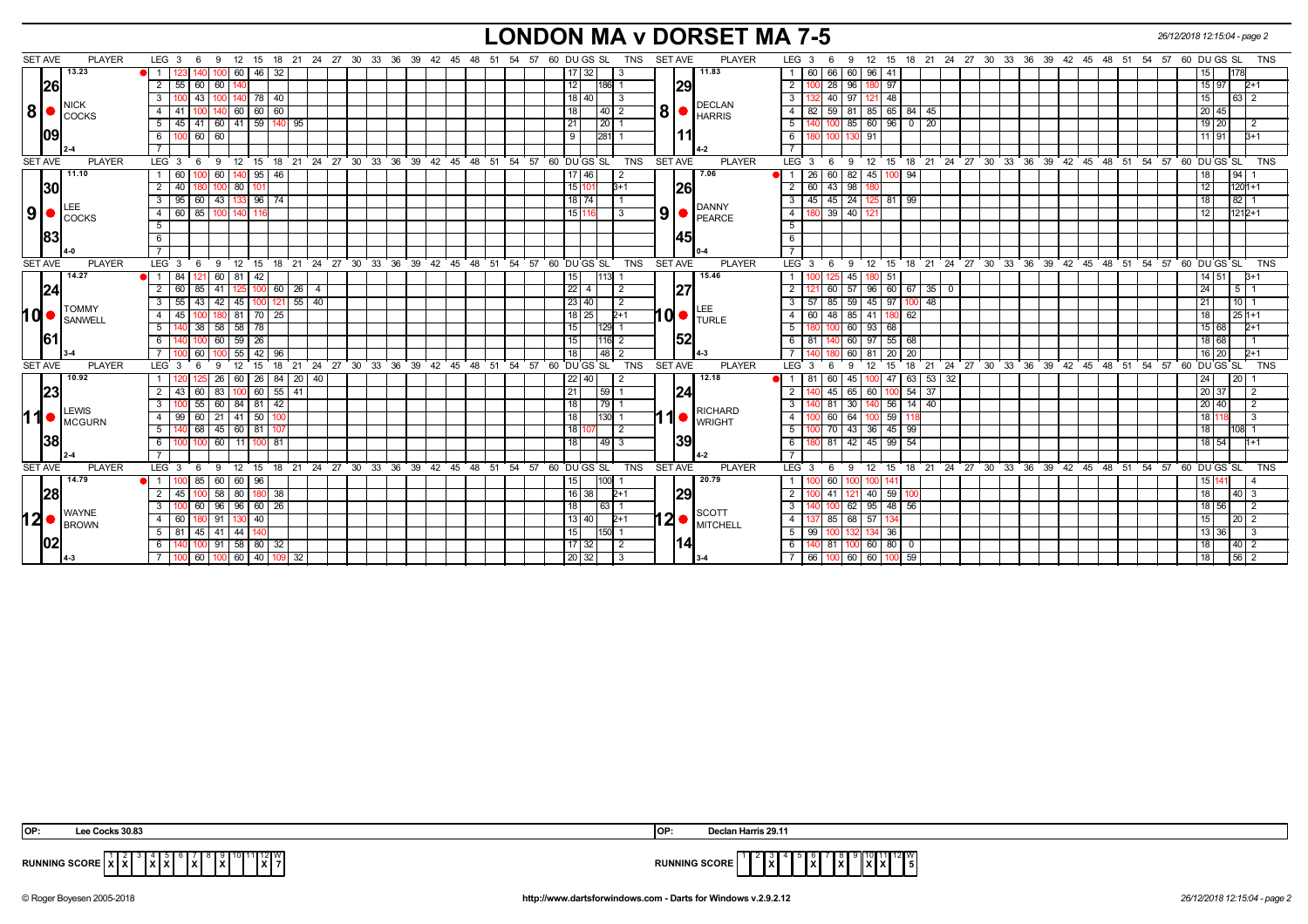#### **LONDON MA v DORSET MA 7-5** *26/12/2018 12:15:04 - page 2*

**8** SET AVE PLAYER 1 2 3  $\overline{4}$  $\overline{5}$  $\overline{6}$ 7 LEG 3 6 9 12 15 18 21 24 27 30 33 36 39 42 45 48 51 54 57 60 DU GS SL TNS SET AVE PLAYER **8** 1 60 66 60 96 41  $\overline{2}$  $\overline{\phantom{1}}$ 3  $4182$  $\overline{5}$  $\overline{6}$  $\overline{7}$ LEG 3 6 9 12 15 18 21 24 27 30 33 36 39 42 45 48 51 54 57 60 DU GS SL TNS **26 09 29 11** NICK **I** COCKS **2-4** DECLAN HARRIS **4-2** 123 140 100 60 46 32 17 32 3 60 66 60 96 41 15 178 55 60 60 140 12 186 1 100 28 96 180 97 15 97 2+1 100 43 100 140 78 40 18 40 3 132 40 97 121 48 15 63 2 41 100 140 60 60 60 18 40 2 82 59 81 85 65 84 45 20 45 45 41 60 41 59 140 95 21 20 1 140 100 85 60 96 0 20 19 20 2 100 60 60 9 281 1 180 100 130 91 11 91 3+1 **13.23 11.83 9** SET AVE PLAYER 1 60  $\overline{2}$  $3 \t 95 \t 60 \t 43$ 4 5  $\overline{6}$ 7 LEG 3 6 9 12 15 18 21 24 27 30 33 36 39 42 45 48 51 54 57 60 DU GS SL TNS **9** SET AVE PLAYER 1 26 60 82 45  $2 60 43 98$  $3$  45 45 24  $-4$  180  $\overline{5}$  $\overline{\phantom{a}}$  6 7 LEG 3 6 9 12 15 18 21 24 27 30 33 36 39 42 45 48 51 54 57 60 DU GS SL TNS **30 83 26 45** LEE **I**COCKS **4-0** DANNY PEARCE **0-4** 60 100 60 140 95 46 17 46 2 26 60 82 45 100 94 18 94 1 40 180 100 80 101 15 101 3+1 60 43 98 180 12 1201+1 95 60 43 133 96 74 18 74 1 45 45 24 125 81 99 18 82 1 60 85 100 140 116 15 116 3 180 39 40 121 12 1212+1 **11.10 7.06 10** SET AVE PLAYER **1 1 1 15.46 11. 15.46 121.** 160. 161. 142. 15.46 **11. 15.46 11. 15.46 11. 15.46**  $2$  60  $3$  55 43 42 45 100 121 4 45 100 180 81 70 25 5  $6$ 7 LEG 3 6 9 12 15 18 21 24 27 30 33 36 39 42 45 48 51 54 57 60 DU GS SL TNS **10** PLAYER  $1100$  $\sqrt{2}$  121 3 55 43 42 45 100 121 55 40 23 40 2 57 85 59 45 97 100 48 21 10 1 4 45 100 180 81 70 25 18 25 2+1 60 48 85 41 180 62 18 25 1+1  $5 \mid 180$  $6$  81 7 140 LEG 3 6 9 12 15 18 21 24 27 30 33 36 39 42 45 48 51 54 57 60 DU GS SL TNS **24 61 27 52** TOMMY **SANWELL 3-4** LEE TURLE **4-3** 84 121 60 81 42 15 113 1 100 125 45 180 51 14 51 3+1 60 85 41 125 100 60 26 4 22 4 2 121 60 57 96 60 67 35 0 24 5 1 140 38 58 58 78 15 129 1 180 100 60 93 68 15 68 2+1 140 100 60 59 26 15 116 2 81 140 60 97 55 68 18 68 1 100 60 100 55 42 96 18 48 2 140 180 60 81 20 20 16 20 2+1 **11** SET AVE PLAYER 1 2  $\overline{3}$ 4 99 60 21 41 50 100 5  $6$ 7 LEG 3 6 9 12 15 18 21 24 27 30 33 36 39 42 45 48 51 54 57 60 DU GS SL TNS SET AVE PLAYER **11** 120|125|26|60|26|84|20|40| | | | | | | | | | | 22|40| |2 | | | 12:18 ● | 1 | 81|60|45|100|47|63|53|32| | | | | | | | | | | | | | 24| |20|1  $\overline{2}$  $\overline{\phantom{a}}$ 3  $\overline{4}$  $\overline{5}$  $\overline{6}$  $\overline{7}$ LEG 3 6 9 12 15 18 21 24 27 30 33 36 39 42 45 48 51 54 57 60 DU GS SL TNS **23 38 24 39 LEWIS IMCGURN 2-4 RICHARD** WRIGHT **4-2** 43 60 83 100 60 55 41 20 12 20 37 20 37 20 37 20 37 38 39 30 30 40 56 30 30 40 56 30 40 56 40 40 56 40 57 30 4<br>100 55 60 84 81 42 20 12 20 40 20 30 40 56 44 40 57 40 58 44 40 50 40 50 40 50 40 50 40 50 40 50 40 50 40 50 4 100 55 60 84 81 42 18 79 1 140 81 30 140 56 14 40 20 40 2 99 60 21 41 50 100 18 130 1 100 60 64 100 59 118 18 118 3 140 68 45 60 81 107 18 107 2 100 70 43 36 45 99 18 108 1 100 100 60 11 100 81 18 49 3 180 81 42 45 99 54 18 54 1+1 **10.92 12.18 12** SET AVE PLAYER  $\overline{1}$ 2 3 4 60  $581$  $\overline{6}$ 7 LEG 3 6 9 12 15 18 21 24 27 30 33 36 39 42 45 48 51 54 57 60 DU GS SL TNS **12** SET AVE PLAYER  $1$  $\overline{2}$  $\overline{\phantom{a}}$ 3  $\overline{4}$  $5 \mid 99$  $61140$  $7 \overline{66}$ LEG 3 6 9 12 15 18 21 24 27 30 33 36 39 42 45 48 51 54 57 60 DU GS SL TNS **28 02 29 14** WAYNE **BROWN 4-3 SCOTT MITCHELL 3-4** 100 85 60 60 96 15 100 1 100 60 100 100 141 15 141 4 45 100 58 80 180 38 16 38 2+1 100 41 121 40 59 100 18 40 3 100 60 96 96 60 26 18 63 1 140 100 62 95 48 56 18 56 2 60 180 91 130 40 13 40 2+1 137 85 68 57 134 15 20 2 81 45 41 44 140 15 150 1 99 100 132 134 36 13 36 3 140 100 91 58 80 32 17 32 2 140 81 100 60 80 0 18 40 2 100 60 100 60 40 109 32 1 1 1 1 1 1 1 1 1 1 1 1 1 1 1 20 32 1 3 1 1 1 34 1 1 7 66 100 60 60 100 59 10 100 59 1 **14.79 20.79**

| OP: | ks 30.83                                                                |                      | Declan Harris 29.11                    |
|-----|-------------------------------------------------------------------------|----------------------|----------------------------------------|
|     | ` x `7 <br><b>RUNNING SCORE XX</b><br>$\mathbf{X}$<br>1 X I<br>$\cdots$ | <b>RUNNING SCORE</b> | 10 11 12 W<br>l x<br><b>XIX</b><br>I 5 |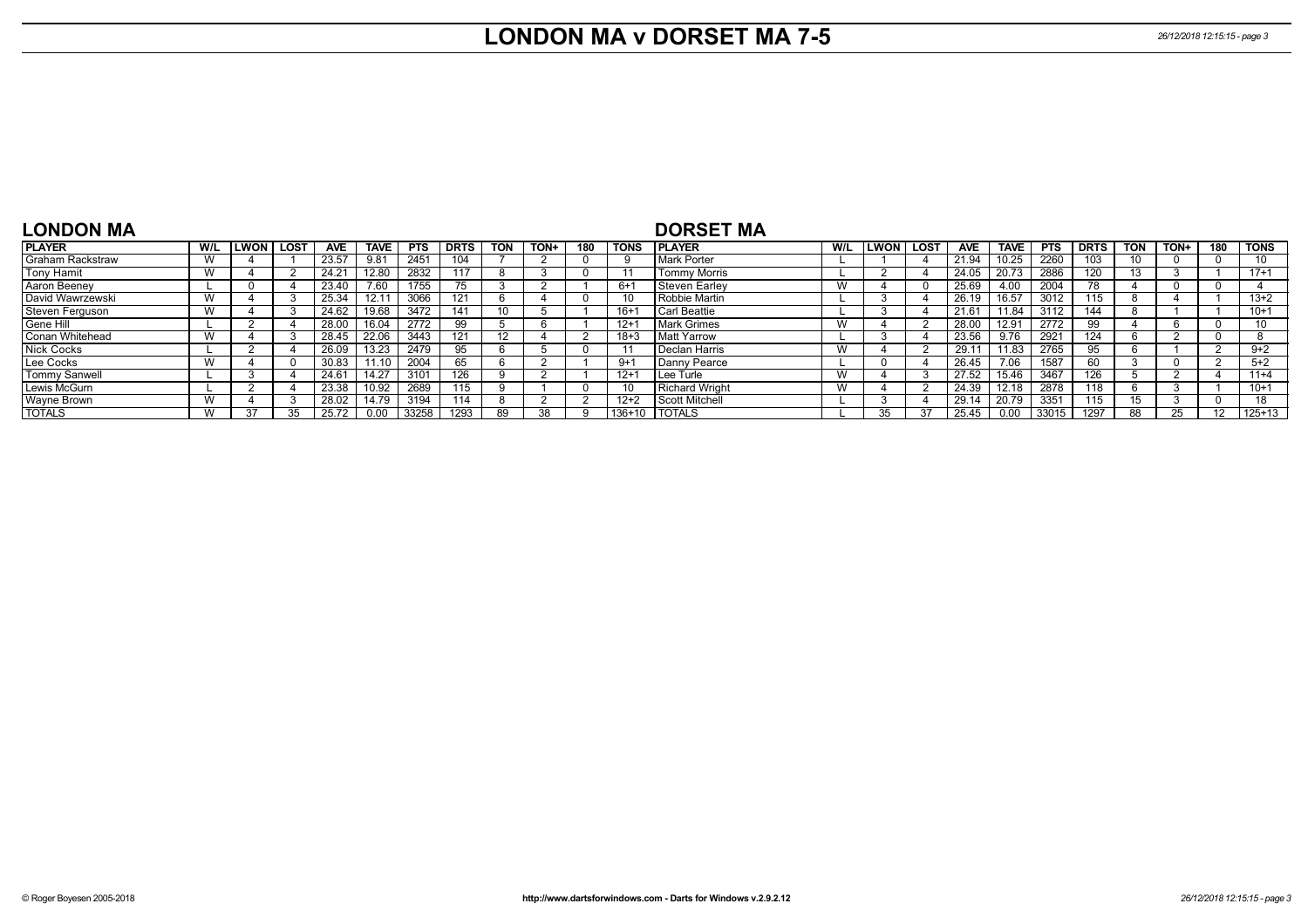## **LONDON MA v DORSET MA 7-5** *26/12/2018 12:15:15 - page 3*

| <b>LONDON MA</b>       |                |                  |                |             |            |             |            |           |     |             | <b>DORSET MA</b>    |     |             |      |                |             |            |             |            |      |     |          |
|------------------------|----------------|------------------|----------------|-------------|------------|-------------|------------|-----------|-----|-------------|---------------------|-----|-------------|------|----------------|-------------|------------|-------------|------------|------|-----|----------|
| <b>PLAYER</b>          | W/L            | <b>LWON LOST</b> | <b>AVE</b>     | <b>TAVE</b> | <b>PTS</b> | <b>DRTS</b> | <b>TON</b> | TON+      | 180 | <b>TONS</b> | <b>I PLAYER</b>     | W/L | <b>LWON</b> | LOST | <b>AVE</b>     | <b>TAVE</b> | <b>PTS</b> | <b>DRTS</b> | <b>TON</b> | TON+ | 180 | TONS     |
| Graham Rackstraw       | V V            |                  | 23.57          | 9.81        | 2451       | 104         |            |           |     |             | Mark Porter         |     |             |      | 21.94          | 10.25       | 2260       | 103         |            |      |     | 10       |
| <b>Tony Hamit</b>      | M<br><b>VV</b> |                  | $24.2^{\circ}$ | 12.80       | 2832       | 117         | 8          |           |     |             | <b>Tommy Morris</b> |     |             |      | 24.05          | 20.73       | 2886       | 120         |            |      |     | $17 + 1$ |
| Aaron Beeney           |                |                  | 23.40          | 7.60        | 1755       | 75          |            |           |     | $6+$        | Steven Earley       | W   |             |      | 25.69          | 4.00        | 2004       | 78          |            |      |     |          |
| David Wawrzewski       |                |                  | 25.34          | 12.11       | 3066       | 121         | n          |           |     |             | Robbie Martin       |     |             |      | 26.19          | 16.57       | 3012       | 115         |            |      |     | $13 + 2$ |
| <b>Steven Ferguson</b> | W              |                  | 24.62          | 19.68       | 3472       | 141         | 10         |           |     | $16+$       | l Carl Beattie      |     |             |      | $21.6^{\circ}$ | 11.84       | 3112       | 144         |            |      |     | $10+1$   |
| Gene Hill              |                |                  | 28.00          | 16.04       | 2772       | 99          |            |           |     | $12+$       | <b>Mark Grimes</b>  | W   |             |      | 28.00          | 12.91       | 2772       | 99          |            |      |     | 10       |
| <b>Conan Whitehead</b> |                |                  | 28.45          | 22.06       | 3443       | 121         | 12         |           |     | 18+:        | <b>Matt Yarrow</b>  |     |             |      | 23.56          | 9.76        | 2921       | 124         |            |      |     |          |
| <b>Nick Cocks</b>      |                |                  | 26.09          | 13.23       | 2479       | 95          | n          |           |     |             | Declan Harris       | W   |             |      | 29.1           | 11.83       | 2765       |             |            |      |     | $9+2$    |
| Lee Cocks              |                |                  | 30.83          | 1.10        | 2004       | 65          | h          |           |     | $9+$        | Danny Pearce        |     |             |      | 26.45          | 7.06        | 1587       | 60          |            |      |     | $5 + 2$  |
| Tommy Sanwell          |                |                  | 24.61          | 14.27       | 3101       | 126         |            |           |     | $12 + 1$    | l Lee Turle         | W   |             |      | 27.52          | 15.46       | 3467       | 126         |            |      |     | $11+4$   |
| Lewis McGurn           |                |                  | 23.38          | 10.92       | 2689       | 115         |            |           |     |             | Richard Wright      | W   |             |      | 24.39          | 12.18       | 2878       | 118         |            |      |     | $10+1$   |
| Wayne Brown            | $\overline{M}$ |                  | 28.02          | 14.79       | 3194       | 114         | 8          |           |     | $12+2$      | Scott Mitchell      |     |             |      | 29.14          | 20.79       | 3351       | 115         |            |      |     | 18       |
| <b>TOTALS</b>          | $\overline{M}$ |                  | 25.72          |             | 33258      | 1293        | 89         | <b>38</b> |     | $136+10$    | <b>TOTALS</b>       |     |             | 37   | 25.45          | 0.00        | 33015      | 1297        | 88         |      |     | $125+13$ |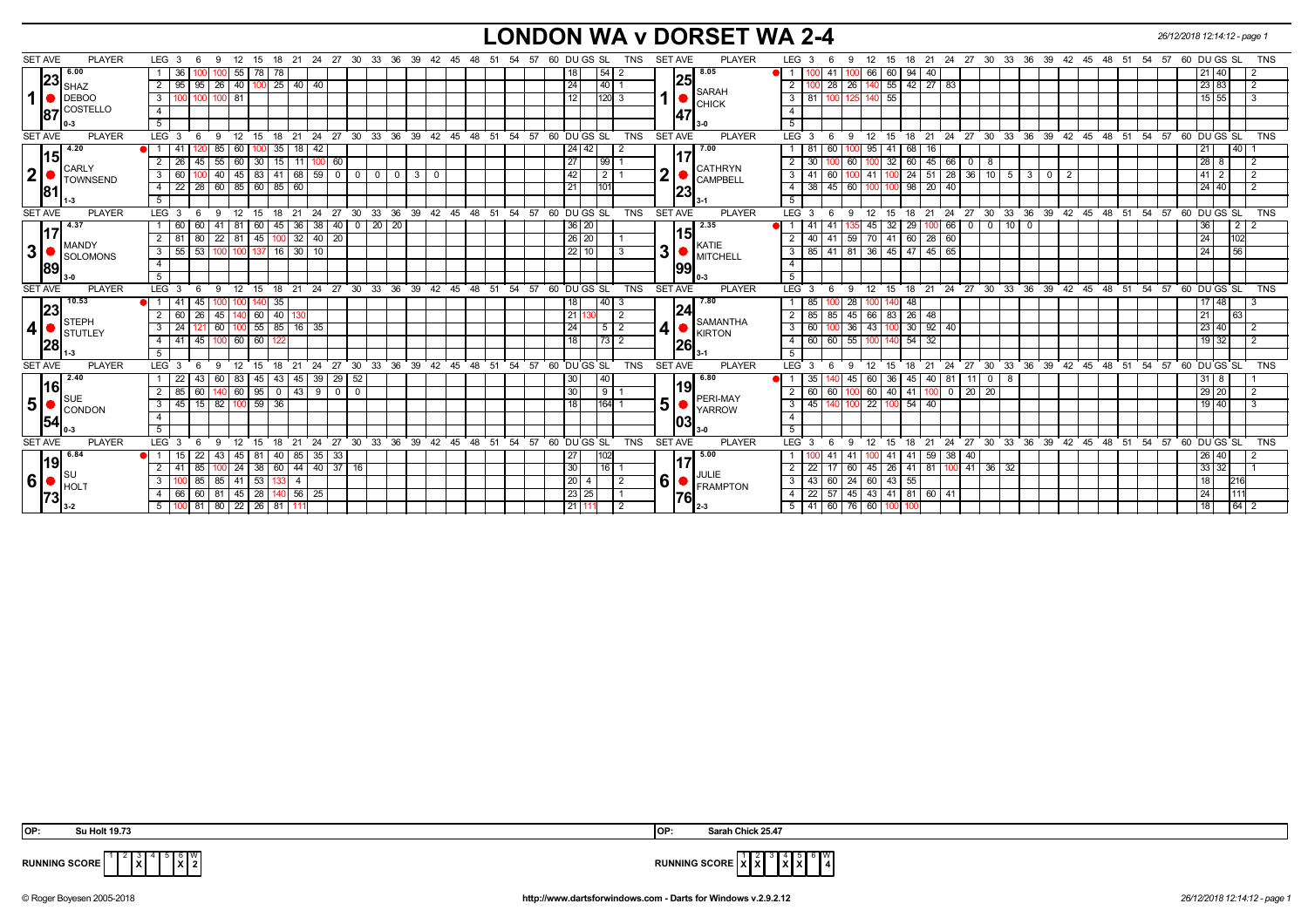#### **LONDON WA v DORSET WA 2-4** *26/12/2018 12:14:12 - page 1*

| <b>SET AVE</b> | <b>PLAYER</b>                      | LEG 3<br>-6                                              | - 9         |                   |             |                   |                                        |                                  | 12 15 18 21 24 27 30 33 36 39 42 45 48 51 54 57 60 DU GS SL  |                                                                     |             |  |       |                 |             | TNS            | <b>SET AVE</b> |     | <b>PLAYER</b>   | LEG <sub>3</sub> |                  | -6       | -9                                    |             |              |                           |                |                                                          |              |           |                |                      | 12 15 18 21 24 27 30 33 36 39 42 45 48 51 54 57 60 DU GS SL  |                |                 |                 | <b>TNS</b>     |
|----------------|------------------------------------|----------------------------------------------------------|-------------|-------------------|-------------|-------------------|----------------------------------------|----------------------------------|--------------------------------------------------------------|---------------------------------------------------------------------|-------------|--|-------|-----------------|-------------|----------------|----------------|-----|-----------------|------------------|------------------|----------|---------------------------------------|-------------|--------------|---------------------------|----------------|----------------------------------------------------------|--------------|-----------|----------------|----------------------|--------------------------------------------------------------|----------------|-----------------|-----------------|----------------|
|                | 6.00                               | 36                                                       |             | $55$   78   78    |             |                   |                                        |                                  |                                                              |                                                                     |             |  |       |                 | 54          |                |                | 25  | 8.05            |                  |                  |          | 66                                    | 60          | 94 40        |                           |                |                                                          |              |           |                |                      |                                                              |                | 21 40           |                 |                |
|                | $\bm{\mathsf{[23]}}_\mathsf{SHAZ}$ | 95   95   26   40   100   25   40   40<br>$\overline{2}$ |             |                   |             |                   |                                        |                                  |                                                              |                                                                     |             |  |       | 24              | 40          |                |                |     | <b>SARAH</b>    |                  |                  |          | 28   26   140   55   42   27   83     |             |              |                           |                |                                                          |              |           |                |                      |                                                              |                | 23 83           |                 |                |
| 1              | $\bigcup$ DEBOO                    | $\overline{3}$                                           | 100 100 81  |                   |             |                   |                                        |                                  |                                                              |                                                                     |             |  |       | 12              | $ 120 $ 3   |                | $\mathbf 1$    |     | CHICK           | $\overline{3}$   | 1811             |          | 100 125 140                           | 55          |              |                           |                |                                                          |              |           |                |                      |                                                              |                | $15 \ 55$       |                 | $\overline{3}$ |
| 87             | COSTELLO                           | $\overline{4}$                                           |             |                   |             |                   |                                        |                                  |                                                              |                                                                     |             |  |       |                 |             |                |                | 47  |                 | $\overline{4}$   |                  |          |                                       |             |              |                           |                |                                                          |              |           |                |                      |                                                              |                |                 |                 |                |
|                | 0-3                                | 5                                                        |             |                   |             |                   |                                        |                                  |                                                              |                                                                     |             |  |       |                 |             |                |                |     |                 | 5                |                  |          |                                       |             |              |                           |                |                                                          |              |           |                |                      |                                                              |                |                 |                 |                |
| <b>SET AVE</b> | <b>PLAYER</b>                      | LEG <sup>3</sup><br>- 6                                  | 9           |                   |             |                   |                                        |                                  | $12$ 15 18 21 24 27 30 33 36 39 42 45 48 51 54 57 60 DUGS SL |                                                                     |             |  |       |                 |             | <b>TNS</b>     | <b>SET AVE</b> |     | PLAYER          |                  | LEG <sup>3</sup> | - 6      |                                       |             |              |                           |                |                                                          |              |           |                |                      | 9 12 15 18 21 24 27 30 33 36 39 42 45 48 51 54 57 60 DUGS SL |                |                 |                 | TNS            |
| 15             | 4.20                               | <b>e</b> l 1 I<br>41                                     | 85          | 60 I              | (1.351)     | 18                | 42                                     |                                  |                                                              |                                                                     |             |  |       | $24 \mid 42$    |             | 2              |                |     | 7.00            |                  | -81              | 60       | 95                                    | 41          | 68<br>l 16   |                           |                |                                                          |              |           |                |                      |                                                              |                | 21              | 40 <sup>1</sup> |                |
|                | <b>CARLY</b>                       | $\overline{2}$<br>26 I                                   |             |                   |             |                   | 45   55   60   30   15   11   100   60 |                                  |                                                              |                                                                     |             |  |       | $\overline{27}$ | 99          |                |                |     | <b>CATHRYN</b>  | $\overline{2}$   | 30               |          | 60                                    |             |              | $32 \ 60 \ 45 \ 66$       | $\overline{0}$ | 8                                                        |              |           |                |                      |                                                              |                | $28 \quad 8$    |                 | $\overline{2}$ |
| 2              | <b>TOWNSEND</b>                    | 3<br>60                                                  | 40          |                   |             |                   | $45 \ 83 \ 41 \ 68 \ 59 \ 0 \ 0 \ 0$   |                                  |                                                              | $\begin{array}{c c c c c c} \hline 0 & 3 & 0 \\ \hline \end{array}$ |             |  |       | 42              | $\boxed{2}$ |                | 2              |     | <b>CAMPBELL</b> | $\overline{3}$   | -41              | 60       | 41                                    |             |              | 100 24 51 28 36 10 5      |                |                                                          | $\mathbf{3}$ | $\circ$ 1 | $\overline{2}$ |                      |                                                              |                | $41 \mid 2$     |                 |                |
| 81             |                                    | 22 28 60 85 60 85 60<br>$-4$                             |             |                   |             |                   |                                        |                                  |                                                              |                                                                     |             |  |       | 21              | 101         |                |                | 23  |                 | $\overline{4}$   | 38               |          | 45 60 100                             |             | $98$   20    | 40                        |                |                                                          |              |           |                |                      |                                                              |                | $24$ 40         |                 |                |
|                |                                    | $5-1$                                                    |             |                   |             |                   |                                        |                                  |                                                              |                                                                     |             |  |       |                 |             |                |                |     |                 | 5 <sup>5</sup>   |                  |          |                                       |             |              |                           |                |                                                          |              |           |                |                      |                                                              |                |                 |                 |                |
| <b>SET AVE</b> | <b>PLAYER</b>                      | LEG <sub>3</sub><br>6                                    | 9           |                   |             |                   |                                        |                                  | 12 15 18 21 24 27 30 33 36 39 42 45 48 51 54 57 60 DUGS SL   |                                                                     |             |  |       |                 |             | TNS            | <b>SET AVE</b> |     | <b>PLAYER</b>   | $LEG \ 3$        |                  | - 6      | 12<br>9                               | 15          |              |                           |                |                                                          |              |           |                |                      | 18 21 24 27 30 33 36 39 42 45 48 51 54 57 60 DUGS SL         |                |                 |                 | <b>TNS</b>     |
|                | 4.37                               | 60                                                       | -41         | 81                | 60<br> 45   | $36 \mid 38$      |                                        | 40                               | $0 \mid 20 \mid$<br>$\sqrt{20}$                              |                                                                     |             |  |       |                 | 36 20       |                |                |     | 2.35            |                  | -41              |          | 45                                    | 32          | 29           | 66                        | $\overline{0}$ | $0$ 10 0                                                 |              |           |                |                      |                                                              |                | 36 <sup>1</sup> |                 | 212            |
|                | <b>MANDY</b>                       | 2 I<br>80<br>81                                          |             | $22$ 81 45 100    |             | $32 \mid 40 \mid$ | 20                                     |                                  |                                                              |                                                                     |             |  |       | 26 20           |             |                |                | 15  | KATIE           | 2                | 40               | 41       | 59 70                                 | 41 60 28 60 |              |                           |                |                                                          |              |           |                |                      |                                                              |                | 24              | 102             |                |
| 3              | SOLOMONS                           | 55 53 100 100 137 16 30 10<br>3 <sup>1</sup>             |             |                   |             |                   |                                        |                                  |                                                              |                                                                     |             |  |       |                 | 22 10       |                | 3              |     | <b>MITCHELL</b> | $\overline{3}$   |                  |          | 85   41   81   36   45   47   45   65 |             |              |                           |                |                                                          |              |           |                |                      |                                                              |                | 24              | 56              |                |
| <b>89</b>      |                                    | $\overline{4}$                                           |             |                   |             |                   |                                        |                                  |                                                              |                                                                     |             |  |       |                 |             |                |                | 99  |                 | $\overline{4}$   |                  |          |                                       |             |              |                           |                |                                                          |              |           |                |                      |                                                              |                |                 |                 |                |
|                |                                    | $\overline{5}$                                           |             |                   |             |                   |                                        |                                  |                                                              |                                                                     |             |  |       |                 |             |                |                |     |                 | $\overline{5}$   |                  |          |                                       |             |              |                           |                |                                                          |              |           |                |                      |                                                              |                |                 |                 |                |
| <b>SET AVE</b> | <b>PLAYER</b>                      | LEG <sub>3</sub><br>- 6                                  | - 9         |                   |             |                   |                                        |                                  | 12 15 18 21 24 27 30 33 36 39 42 45 48 51 54 57 60 DUGS SL   |                                                                     |             |  |       |                 |             | TNS            | <b>SET AVE</b> |     | PLAYER          |                  | LEG <sup>3</sup> | - 6<br>9 |                                       |             |              |                           |                |                                                          |              |           |                |                      | 12 15 18 21 24 27 30 33 36 39 42 45 48 51 54 57 60 DUGS SL   |                |                 |                 | <b>TNS</b>     |
|                | 10.53                              | 45<br>41<br>● 1 1                                        |             | 100 I             | 35<br>140   |                   |                                        |                                  |                                                              |                                                                     |             |  |       | 18              | 40  3       |                |                |     | 7.80            |                  | 85               |          | 28                                    | $ 40 $ 48   |              |                           |                |                                                          |              |           |                |                      |                                                              |                | 17 48           |                 |                |
| 23             | <b>STEPH</b>                       | 2 <sup>1</sup><br>60 I<br>26                             | 45          |                   | $140$ 60 40 | 130               |                                        |                                  |                                                              |                                                                     |             |  |       | 21              |             | 2              |                | 24  | <b>SAMANTHA</b> | 2                | 85               |          | $85 \mid 45 \mid 66$                  |             | 83 26 48     |                           |                |                                                          |              |           |                |                      |                                                              |                | 21              | 63              |                |
| 4              | STUTLEY                            | $\mathbf{3}$<br>24                                       | 60          |                   |             | $100$ 55 85 16 35 |                                        |                                  |                                                              |                                                                     |             |  |       | 24              |             | $5 \mid 2$     | 4              |     | <b>KIRTON</b>   | 3                | 60               |          | $\overline{100}$ 36 43                |             | 100 30 92 40 |                           |                |                                                          |              |           |                |                      |                                                              |                | 23 40           |                 |                |
| 28             |                                    | 45<br>41<br>4 I                                          | 100 L       | 60 60             | -122        |                   |                                        |                                  |                                                              |                                                                     |             |  |       | 18              |             |                |                | 26  |                 | $\overline{4}$   | 60               | 60 l     | 55<br>100                             |             | 54<br>32     |                           |                |                                                          |              |           |                |                      |                                                              |                | 19 32           |                 |                |
|                |                                    | 5                                                        |             |                   |             |                   |                                        |                                  |                                                              |                                                                     |             |  |       |                 |             |                |                |     |                 | 5                |                  |          |                                       |             |              |                           |                |                                                          |              |           |                |                      |                                                              |                |                 |                 |                |
| <b>SET AVE</b> | <b>PLAYER</b>                      | LEG <sub>3</sub><br>- 6                                  | - 9         | 12                | 18<br>15    | 21                |                                        |                                  | 24 27 30 33 36 39 42 45 48 51 54 57 60 DUGS SL               |                                                                     |             |  |       |                 |             | <b>TNS</b>     | <b>SET AVE</b> |     | <b>PLAYER</b>   | LEG <sub>3</sub> |                  | - 6      | 12<br>9                               | 15          | 18           | $21 \quad 24$             |                |                                                          |              |           |                |                      | 27 30 33 36 39 42 45 48 51 54 57 60 DUGS SL                  |                |                 |                 | TNS            |
|                | 2.40                               | 43<br>22                                                 | 60 I        | 83   45           | 43          | 45 I              | 39                                     | 29<br>52                         |                                                              |                                                                     |             |  |       | 30              | 40          |                |                |     | 6.80            |                  | 35               |          | 45<br>60 I                            | 36          | 45           | $140$   81 $\overline{1}$ | -11            | $\overline{\phantom{0}}$ 0 $\overline{\phantom{0}}$<br>8 |              |           |                |                      |                                                              |                | $31$ 8          |                 |                |
| 16             | <b>SUE</b>                         | 85<br>2<br>60                                            | 140         | 60   95           | 0           | 43                | 9                                      | 0 <sub>1</sub><br>$\overline{0}$ |                                                              |                                                                     |             |  |       | 30              | $\sqrt{9}$  |                |                | 19  | PERI-MAY        | 2                | 60               | 60       | 60                                    | 40 41       | 100 I        |                           | $0$   20   20  |                                                          |              |           |                |                      |                                                              |                | 29 20           |                 |                |
| 5              | CONDON                             | 3 <sup>1</sup><br>45 I                                   | $15$ 82     | $100$ 59          | 36          |                   |                                        |                                  |                                                              |                                                                     |             |  |       | 18              | 164 1       |                | 5              |     | <b>YARROW</b>   | $\overline{3}$   | 45               |          | 22                                    |             | 54<br>40     |                           |                |                                                          |              |           |                |                      |                                                              |                | 19 40           |                 |                |
| 54             |                                    | $\overline{4}$                                           |             |                   |             |                   |                                        |                                  |                                                              |                                                                     |             |  |       |                 |             |                |                | 103 |                 | $\overline{4}$   |                  |          |                                       |             |              |                           |                |                                                          |              |           |                |                      |                                                              |                |                 |                 |                |
|                |                                    | 5                                                        |             |                   |             |                   |                                        |                                  |                                                              |                                                                     |             |  |       |                 |             |                |                |     |                 | 5                |                  |          |                                       |             |              |                           |                |                                                          |              |           |                |                      |                                                              |                |                 |                 |                |
| <b>SET AVE</b> | <b>PLAYER</b>                      | LEG <sub>3</sub><br>-6                                   | - 9         | $12 \overline{ }$ | 18<br>15    | 21                | 24<br>-27                              | 30                               | 33<br>ີ 36                                                   | $39^{\circ}$                                                        | 42 45 48 51 |  | 54 57 |                 | 60 DU GS SL | <b>TNS</b>     | <b>SET AVE</b> |     | <b>PLAYER</b>   | <b>LEG</b>       | - 3              |          | 9<br>12                               | 15          | 18<br>21     | -24                       | 27             | ີ 33<br>30                                               |              |           |                | 36 39 42 45 48 51 54 |                                                              | 57 60 DU GS SL |                 |                 | TNS            |
|                | 6.84                               | 22<br>●I1<br>15                                          | -43         | 45                | 81<br>40    | 85                | 35<br>-33                              |                                  |                                                              |                                                                     |             |  |       | 27              | 102         |                |                |     | 5.00            |                  |                  |          |                                       |             | 59<br>41     | 38   40                   |                |                                                          |              |           |                |                      |                                                              |                | 26 40           |                 |                |
| 19             |                                    | 2<br>85                                                  |             | 24 I              | 38<br>60    |                   | 44 40 37 16                            |                                  |                                                              |                                                                     |             |  |       | 30              | 16          |                |                |     | JULIE           | $\overline{2}$   | 22               |          | 60<br>45                              | 26 I        | 41           | 81   100   41   36   32   |                |                                                          |              |           |                |                      |                                                              |                | 33 32           |                 |                |
| 6              | HOLT                               | $\mathbf{3}$<br>85                                       |             | 85 41 53          | -133        | 4                 |                                        |                                  |                                                              |                                                                     |             |  |       | 20              | 4           | $\overline{2}$ | 6              |     | <b>FRAMPTON</b> | 3                | 43               | 60       | $24 \overline{60}$                    | 43   55     |              |                           |                |                                                          |              |           |                |                      |                                                              |                | 18              | 216             |                |
| 73             |                                    | 66<br>-4                                                 | 60 81 45 28 |                   | 140         | 56 25             |                                        |                                  |                                                              |                                                                     |             |  |       | 23 25           |             |                |                | 176 |                 | $\overline{4}$   | 22               | 57       | 45 43 41 81 60 41                     |             |              |                           |                |                                                          |              |           |                |                      |                                                              |                | 24              | 1111            |                |
|                |                                    | 100 81<br>$5 \mid$                                       |             | 80   22   26   81 |             |                   |                                        |                                  |                                                              |                                                                     |             |  |       | 21 11           |             | $\overline{2}$ |                |     |                 |                  |                  |          | 5   41   60   76   60                 |             |              |                           |                |                                                          |              |           |                |                      |                                                              |                | 18              |                 | $64$   2       |

| OP:            | olt 19.73                                     | IOP: | .25.47<br>sarah    |
|----------------|-----------------------------------------------|------|--------------------|
| <b>RUNNING</b> | -<br>CORE<br>lx.<br>$\mathbf{v}$<br>$\sim$ 14 |      | <b>NNING SCORE</b> |

 $^{4}$   $^{5}$   $\frac{6}{5}$  $\frac{w}{2}$ 

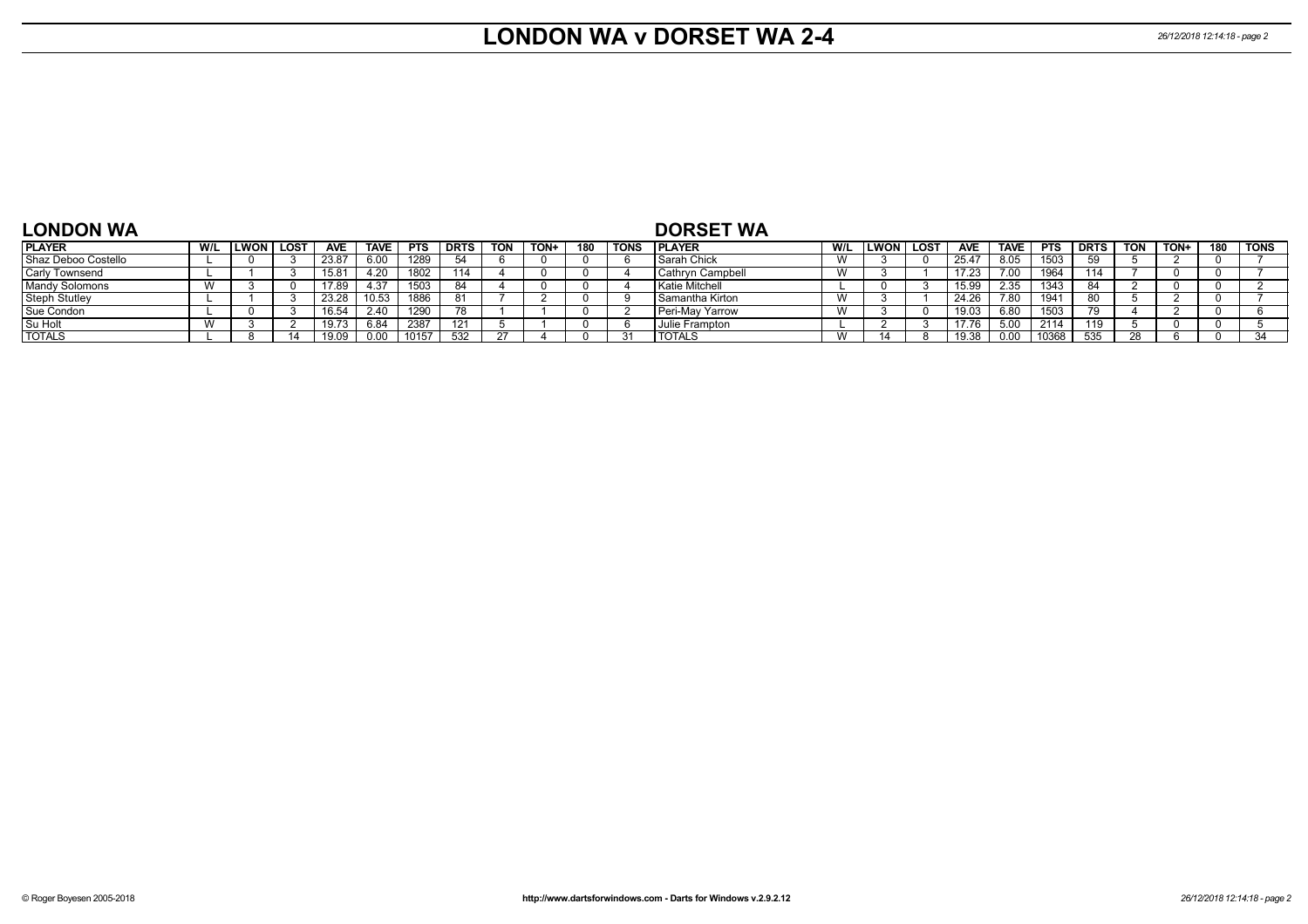#### **LONDON WA v DORSET WA 2-4** *26/12/2018 12:14:18 - page 2*

| <b>LONDON WA</b>      |     |        |      |            |             |            |             |            |      |     |             | <b>DORSET WA</b>       |           |             |             |            |             |            |             |            |             |     |             |
|-----------------------|-----|--------|------|------------|-------------|------------|-------------|------------|------|-----|-------------|------------------------|-----------|-------------|-------------|------------|-------------|------------|-------------|------------|-------------|-----|-------------|
| <b>IPLAYER</b>        | W/L | LWON I | LOST | <b>AVE</b> | <b>TAVE</b> | <b>PTS</b> | <b>DRTS</b> | <b>TON</b> | TON+ | 180 | <b>TONS</b> | <b>IPLAYER</b>         | W/L       | <b>LWON</b> | <b>LOST</b> | <b>AVE</b> | <b>TAVE</b> | <b>PTS</b> | <b>DRTS</b> | <b>TON</b> | <b>TON-</b> | 180 | <b>TONS</b> |
| Shaz Deboo Costello   |     |        |      | 23.87      | 6.00        | 1289       |             |            |      |     |             | Sarah Chick            |           |             |             | 25.47      | 8.05        | 1503       | БΩ          |            |             |     |             |
| <b>Carly Townsend</b> |     |        |      | 15.81      | 4.20        | 1802       | 114         |            |      |     |             | Cathryn Campbell       | $\lambda$ |             |             | 17.23      |             | 1964       |             |            |             |     |             |
| <b>Mandy Solomons</b> |     |        |      | 17.89      | 4.37        | 1503       | 84          |            |      |     |             | Katie Mitchell         |           |             |             | 15.99      | 2.35        | 1343       |             |            |             |     |             |
| <b>Steph Stutley</b>  |     |        |      | 23.28      | 10.53       | 1886       | $\circ$     |            |      |     |             | I Samantha Kirton      |           |             |             | 24.26      |             | 194'       |             |            |             |     |             |
| Sue Condon            |     |        |      | 16.54      | 2.40        | 1290       |             |            |      |     |             | <b>Peri-May Yarrow</b> |           |             |             | 19.03      | 6.8C        | 1503       |             |            |             |     |             |
| Su Holt               |     |        |      | 19.73      | 6.84        | 2387       |             |            |      |     |             | Julie Frampton         |           |             |             | 17.76      | .5.OC       | 2114       | 110.        |            |             |     |             |
| <b>TOTALS</b>         |     |        |      | 19.09      | 0.00        | 10157      | 532         |            |      |     |             | <b>TOTALS</b>          | $\lambda$ |             |             | 19.38      | n or        | 0368       |             |            |             |     | -24         |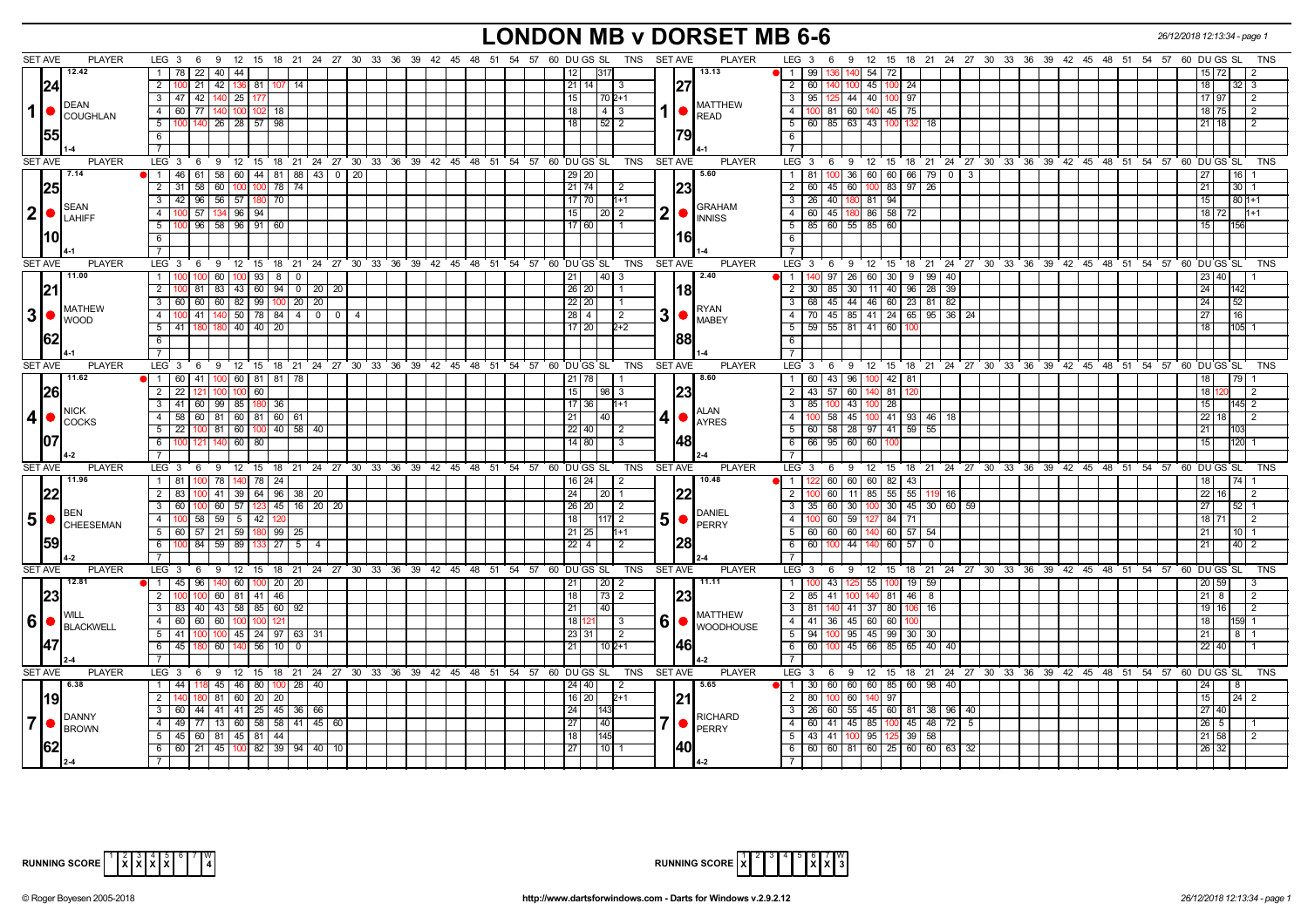# **LONDON MB v DORSET MB 6-6** *26/12/2018 12:13:34 - page 1*

| <b>SET AVE</b>  | <b>PLAYER</b>                                                         | $LEG_36$<br>9 12 15 18 21 24 27 30 33 36 39 42 45 48 51 54 57 60 DUGS SL                 |                             |  |                                        |       | TNS                             | SET AVE          | <b>PLAYER</b>                  | LEG 3 6 9<br>12 15 18 21 24 27 30 33 36 39 42 45 48 51 54 57 60 DU GS SL                                                                           | TNS        |
|-----------------|-----------------------------------------------------------------------|------------------------------------------------------------------------------------------|-----------------------------|--|----------------------------------------|-------|---------------------------------|------------------|--------------------------------|----------------------------------------------------------------------------------------------------------------------------------------------------|------------|
|                 | 12.42                                                                 | $\sqrt{22}$<br>40   44<br>1   78                                                         |                             |  |                                        |       | 12<br>317                       |                  | 13.13                          | 54 72<br>l 1<br>-99 I<br>136 I<br>140<br>72                                                                                                        |            |
|                 | 24                                                                    | 2   100   21   42   136   81   107   14                                                  |                             |  |                                        |       | $21$   14  <br>-3               | 27               |                                | $\overline{2}$<br>60   140   100<br>45 100 24<br>18                                                                                                |            |
|                 |                                                                       | 3 47 42 140 25 177                                                                       |                             |  |                                        |       | 15<br>$1702+1$                  |                  |                                | 3   95   125   44   40   100   97<br>17 97<br>$\overline{2}$                                                                                       |            |
|                 | <b>DEAN</b>                                                           | 4 60 77 140 100 102 18                                                                   |                             |  |                                        |       | 18<br> 4 3                      |                  | <b>MATTHEW</b>                 | 4 <sup>1</sup><br>100 81 60 140 45 75<br>18 75<br>l 2                                                                                              |            |
| 1               | COUGHLAN                                                              | 5 100 140 26 28 57 98                                                                    |                             |  |                                        |       | $\sqrt{52}$ 2<br>18             |                  | <b>READ</b>                    | 5   60   85   63   43   100   132<br>18                                                                                                            |            |
|                 |                                                                       |                                                                                          |                             |  |                                        |       |                                 |                  |                                | $21 \mid 18$                                                                                                                                       |            |
|                 |                                                                       | 6                                                                                        |                             |  |                                        |       |                                 | 79               |                                | 6                                                                                                                                                  |            |
|                 |                                                                       | $\overline{7}$                                                                           |                             |  |                                        |       |                                 |                  |                                | $\overline{7}$                                                                                                                                     |            |
| <b>SET AVE</b>  | <b>PLAYER</b>                                                         | LEG 3  6  9  12  15  18  21  24  27  30  33  36  39  42  45  48  51  54  57  60  DUGS SL |                             |  |                                        |       |                                 | TNS SET AVE      | <b>PLAYER</b>                  | LEG 3 6 9 12 15 18 21 24 27 30 33 36 39 42 45 48 51 54 57 60 DUGS SL                                                                               | <b>TNS</b> |
|                 | 7.14                                                                  | 0 1 46 61 58 60 44 81 88 43 0 20                                                         |                             |  |                                        |       | $29$ $20$                       |                  | 5.60                           | 81 100 36 60 60 66 79 0 3<br> 16 <br>1<br>27                                                                                                       |            |
|                 | 25                                                                    | 58<br>$2 \mid 31 \mid$<br>60 100 100 78 74                                               |                             |  |                                        |       | $21$ 74<br>$\frac{12}{2}$       | 23               |                                | $\overline{2}$<br>$60$   45   60<br>100 83 97 26<br>30 <sub>1</sub><br>21                                                                          |            |
|                 | <b>SEAN</b>                                                           | $3 \mid 42 \mid 96 \mid 56 \mid 57 \mid 180 \mid 70$                                     |                             |  |                                        |       | $17$   70  <br>$1 + 1$          |                  | <b>GRAHAM</b>                  | 26 40 180 81 94<br>$\overline{3}$<br>$801+1$<br>15 <sup>1</sup>                                                                                    |            |
|                 | $ 2  \bullet  _{\text{LAHIFF}}^{\text{SEARCH}}$                       | $57$   134   96   94<br>4 <sup>1</sup><br>100                                            |                             |  |                                        |       | 15<br>20 2                      | 2                | <b>INNISS</b>                  | 60 45 180<br>$\overline{4}$<br>86 58 72<br>18 72<br>$1 + 1$                                                                                        |            |
|                 |                                                                       | 5 100 96 58 96 91 60                                                                     |                             |  |                                        |       | 17 60 <br>I 1                   |                  |                                | $5^{\circ}$<br>85 60 55 85 60<br>15                                                                                                                |            |
|                 | l10l                                                                  | 6                                                                                        |                             |  |                                        |       |                                 | 16               |                                | 6                                                                                                                                                  |            |
|                 |                                                                       | $\overline{7}$                                                                           |                             |  |                                        |       |                                 |                  |                                | $\overline{7}$                                                                                                                                     |            |
| <b>SET AVE</b>  | <b>PLAYER</b>                                                         | $LEG \ 3$<br>9 12 15 18 21 24 27 30 33 36 39 42 45 48 51 54 57<br>- 6                    |                             |  |                                        |       | 60 DU GS SL<br>TNS              | <b>SET AVE</b>   | <b>PLAYER</b>                  | LEG 3<br>12 15 18 21 24 27 30 33 36 39 42 45 48 51 54 57 60 DUGS SL<br>6<br>9                                                                      | <b>TNS</b> |
|                 | 11.00                                                                 | 60 100 93<br>$1 \, 100$                                                                  | 8   0                       |  |                                        |       | $\overline{40}$<br>21<br>-3     |                  | 2.40                           | $97 \mid 26 \mid 60 \mid 30 \mid 9 \mid 99 \mid 40$<br>$\overline{1}$<br>40                                                                        |            |
|                 |                                                                       | $\overline{2}$<br>83 43 60<br>81                                                         | $94 \mid 0 \mid 20 \mid 20$ |  |                                        |       | $26$ 20                         | 18               |                                | $\overline{2}$<br>85 30<br>11 40<br>$28 \mid 39$<br>30<br>96                                                                                       |            |
|                 |                                                                       | $3 \mid 60$<br>60<br>60 82 99 100 20 20                                                  |                             |  |                                        |       | $22$   20                       |                  |                                | 68 45 44 46 60 23 81 82<br>152<br>24 <sup>1</sup>                                                                                                  |            |
| 3  <sub>o</sub> | <b>MATHEW</b>                                                         | 4 100 41 140 50 78 84 4 0 0 4                                                            |                             |  |                                        |       | $28 \mid 4$<br>$\overline{2}$   | 3<br>$\bullet$   | <b>RYAN</b><br><b>MABEY</b>    | 70   45   85   41   24   65   95   36   24<br>$\overline{4}$<br>27<br>1161                                                                         |            |
|                 | <b>WOOD</b>                                                           | $5 \overline{41}$<br>180 40 40 20<br>180                                                 |                             |  |                                        |       | $17$ 20<br>$2 + 2$              |                  |                                | 5<br>$59$ 55 81 41 60<br>18<br>105                                                                                                                 |            |
|                 |                                                                       | $6\overline{6}$                                                                          |                             |  |                                        |       |                                 | 188              |                                | 6                                                                                                                                                  |            |
|                 |                                                                       | $\overline{7}$                                                                           |                             |  |                                        |       |                                 |                  |                                | $\overline{7}$                                                                                                                                     |            |
| <b>SET AVE</b>  | <b>PLAYER</b>                                                         | LEG $3 \quad 6$<br>9 12 15 18 21 24 27 30 33 36 39 42 45 48 51 54 57 60 DUGS SL          |                             |  |                                        |       | TNS                             | SET AVE          | <b>PLAYER</b>                  | 12 15 18 21 24 27 30 33 36 39 42 45 48 51 54 57 60 DUGS SL<br>LEG 3<br>69                                                                          | TNS        |
|                 | 11.62                                                                 | $\bullet$   1   60   41   100   60   81   81   78                                        |                             |  |                                        |       | 21   78                         |                  | 8.60                           | 1   60   43   96   100   42   81<br> 79 <br>18                                                                                                     |            |
|                 | 26                                                                    | $2$   22   121   100   100   60                                                          |                             |  |                                        |       | 15<br> 98 3                     | 23               |                                | 2   43   57   60   140   81   120<br>18 <sup>1</sup><br>$\overline{2}$                                                                             |            |
|                 |                                                                       | $3$ 41 60 99 85 180 36                                                                   |                             |  |                                        |       | 17 36 I<br>$11+1$               |                  |                                | $\overline{\cdot \cdot \cdot}$<br>100 43 100 28<br>-85 I<br>15 <sub>l</sub><br>145 2                                                               |            |
| $\vert$         | <b>NICK</b>                                                           | 4 58 60 81 60 81 60 61                                                                   |                             |  |                                        |       | 21<br>40                        | 41<br>$\bullet$  | ALAN                           | 100 58 45 100 41 93 46 18<br>$\overline{4}$<br>$\overline{22}$ 18<br>$\overline{2}$                                                                |            |
|                 | COCKS                                                                 | $5 \mid 22 \mid 100 \mid 81 \mid 60 \mid 100 \mid 40 \mid 58 \mid 40$                    |                             |  |                                        |       | $22$   40<br>l 2                |                  | <b>AYRES</b>                   | 5 60 58 28 97 41 59 55<br>103<br>21                                                                                                                |            |
|                 |                                                                       | 6 100 121 140 60 80                                                                      |                             |  |                                        |       | 14 80 <br>l 3                   | 48               |                                | 6 66 95 60 60 100<br>120<br>15 <sup>1</sup>                                                                                                        |            |
|                 |                                                                       |                                                                                          |                             |  |                                        |       |                                 |                  |                                | $\overline{7}$                                                                                                                                     |            |
| <b>SET AVE</b>  | <b>PLAYER</b>                                                         | LEG 3 6 9 12 15 18 21 24 27 30 33 36 39 42 45 48 51 54 57 60 DUGS SL TNS                 |                             |  |                                        |       |                                 | <b>SET AVE</b>   | <b>PLAYER</b>                  | LEG 3 6 9 12 15 18 21 24 27 30 33 36 39 42 45 48 51 54 57 60 DUGS SL                                                                               | <b>TNS</b> |
|                 | 11.96                                                                 |                                                                                          |                             |  |                                        |       |                                 |                  | 10.48                          | 74 <br>l 1                                                                                                                                         |            |
|                 |                                                                       | 78 140 78 24<br>1 81                                                                     |                             |  |                                        |       | $16$   24  <br>$\sqrt{2}$       |                  |                                | 2 60 60 60 82 43<br>22 <sup>1</sup>                                                                                                                |            |
|                 |                                                                       | 41 39 64 96 38 20<br>2 83<br>$3 \mid 60$<br>60   57   123   45   16   20   20  <br>100   |                             |  |                                        |       | 24<br>$20$   1<br>26 20         | 1221             |                                | 11 85 55 55<br>$\overline{2}$<br>60<br>119 16<br>16<br>35   60   30   100   30   45   30   60   59  <br><b>27</b><br>$\overline{3}$<br>$52 \mid 1$ |            |
|                 | <b>BEN</b>                                                            |                                                                                          |                             |  |                                        |       | $\sqrt{2}$                      |                  | <b>DANIEL</b>                  |                                                                                                                                                    |            |
|                 | $\vert 5 \vert$ $\bullet$ $\vert_{\texttt{CHEESEMAN}}^{\texttt{BEN}}$ | 58   59   5   42   120<br>4 100                                                          |                             |  |                                        |       | 18<br>117 2                     | 5<br>$\bullet$   | PERRY                          | $\overline{4}$<br>60   59  <br>127 84 71<br>181711                                                                                                 |            |
|                 | 159                                                                   | 5 60 57 21 59 180 99 25                                                                  |                             |  |                                        |       | 21   25  <br>l1+1               |                  |                                | 5<br>$\sqrt{60}$ 57   54<br>60 60 60<br>21<br>$10$   1                                                                                             |            |
|                 |                                                                       | 6 100 84 59 89 133 27 5                                                                  | $\overline{a}$              |  |                                        |       | $22$   4<br>$\overline{2}$      | 128              |                                | 6<br>60<br>$100$ 44<br>140 60 57<br>$40\overline{2}$<br>$\overline{\mathbf{0}}$                                                                    |            |
|                 |                                                                       | 7 <sup>1</sup>                                                                           |                             |  |                                        |       |                                 |                  |                                | $\overline{7}$                                                                                                                                     |            |
| <b>SET AVE</b>  | <b>PLAYER</b>                                                         | LEG 3 6 9 12 15 18 21 24 27 30 33 36 39 42 45 48 51 54 57 60 DUGS SL                     |                             |  |                                        |       | TNS                             | <b>SET AVE</b>   | <b>PLAYER</b>                  | LEG 3 6 9 12 15 18 21 24 27 30 33 36 39 42 45 48 51 54 57 60 DUGS SL                                                                               | TNS        |
|                 | 12.81                                                                 | 1 45 96<br>140 60 100 20 20                                                              |                             |  |                                        |       | $\sqrt{20}$ 2<br>21             |                  | 11.11                          | $\overline{1}$<br>43 125<br>55<br>$100$ 19 59                                                                                                      |            |
|                 |                                                                       | $2 \overline{100}$<br>60 81 41 46<br>100                                                 |                             |  |                                        |       | $\overline{18}$<br> 73 2        | 123              |                                | $\overline{2}$<br>$85$   41  <br>$140 \ 81 \ 46 \ 8$<br>21 I<br>-8<br>100                                                                          |            |
|                 | WILL                                                                  | $3 \mid 83 \mid 40 \mid 43 \mid 58 \mid 85 \mid 60 \mid 92$                              |                             |  |                                        |       | 21<br>40                        |                  | MATTHEW                        | $\overline{\mathbf{3}}$<br>81 140 41<br>37 80 106<br>- 16<br>19 I<br>16                                                                            |            |
|                 | 16   BLACKWELL                                                        | 4 60 60 60 100<br>100<br>121                                                             |                             |  |                                        |       | 18 121<br>l 3                   | 6<br>$\bullet$ . | <b>WOODHOUSE</b>               | $\overline{4}$<br>41 36 45 60 60<br>18 I                                                                                                           |            |
|                 |                                                                       | $5 \mid 41$<br>100 100 45 24 97 63 31                                                    |                             |  |                                        |       | 23 31 <br>$\vert$ 2             |                  |                                | $\overline{5}$<br>94 100 95 45 99 30 30<br>8 1<br>21 <sup>1</sup>                                                                                  |            |
|                 |                                                                       | 6 45 180<br>60 140 56 10                                                                 | $\overline{0}$              |  |                                        |       | 21<br>$102+1$                   | 46               |                                | 6<br>60   100   45   66   85   65   40   40<br>22 40                                                                                               |            |
|                 |                                                                       | 7 <sup>1</sup>                                                                           |                             |  |                                        |       |                                 |                  |                                | $\overline{7}$                                                                                                                                     |            |
| <b>SET AVE</b>  | <b>PLAYER</b>                                                         | LEG <sub>3</sub><br>$9 \quad 12$<br>- 6                                                  |                             |  | 15 18 21 24 27 30 33 36 39 42 45 48 51 | 54 57 | 60 DU GS SL<br><b>TNS</b>       | <b>SET AVE</b>   | PLAYER                         | 12 15 18 21 24 27 30 33 36 39 42 45 48 51 54 57 60 DUGS SL<br>$LEG \ 3$<br>6<br>9                                                                  | <b>TNS</b> |
|                 | 6.38                                                                  | 1   44   118   45   46   80   100   28   40                                              |                             |  |                                        |       | 24 40 <br>$\vert$ 2             |                  | 5.65                           | 1   30   60   60   60   85   60   98   40<br>24<br>$\overline{8}$                                                                                  |            |
|                 | 19                                                                    | 81 60 20 20<br>2 I                                                                       |                             |  |                                        |       | 16 20 <br>$2+1$                 | 21               |                                | $100$ 60<br>2<br>80 I<br>140 97<br>15 <sup>1</sup><br>$24 \overline{\smash{\big)}\ 2}$                                                             |            |
|                 |                                                                       | 3 60 44 41 41 25 45 36 66                                                                |                             |  |                                        |       | 24<br>143                       |                  |                                | 26   60   55   45   60   81   38   96   40<br>3<br>27140                                                                                           |            |
| $\overline{7}$  | DANNY<br>BROWN                                                        | 4 49 77 13 60 58 58 41 45 60                                                             |                             |  |                                        |       | $\overline{27}$<br>$ 40\rangle$ |                  | <b>RICHARD</b><br><b>PERRY</b> | 4 60 41 45 85 100 45 48 72 5<br>$26 \mid 5$                                                                                                        |            |
|                 |                                                                       | $5 \mid 45 \mid 60 \mid 81 \mid 45 \mid 81 \mid 44 \mid$                                 |                             |  |                                        |       | 18<br>145                       |                  |                                | 5<br>43 41 100 95 125 39 58<br>21 58<br>2                                                                                                          |            |
|                 |                                                                       | $6$ 6 6 21 45 100 82 39 94 40 10                                                         |                             |  |                                        |       | 27<br>$110$ 1                   |                  |                                | $6   60   60   81   60   25   60   60   63   32$<br>26 32                                                                                          |            |
|                 |                                                                       |                                                                                          |                             |  |                                        |       |                                 |                  |                                |                                                                                                                                                    |            |



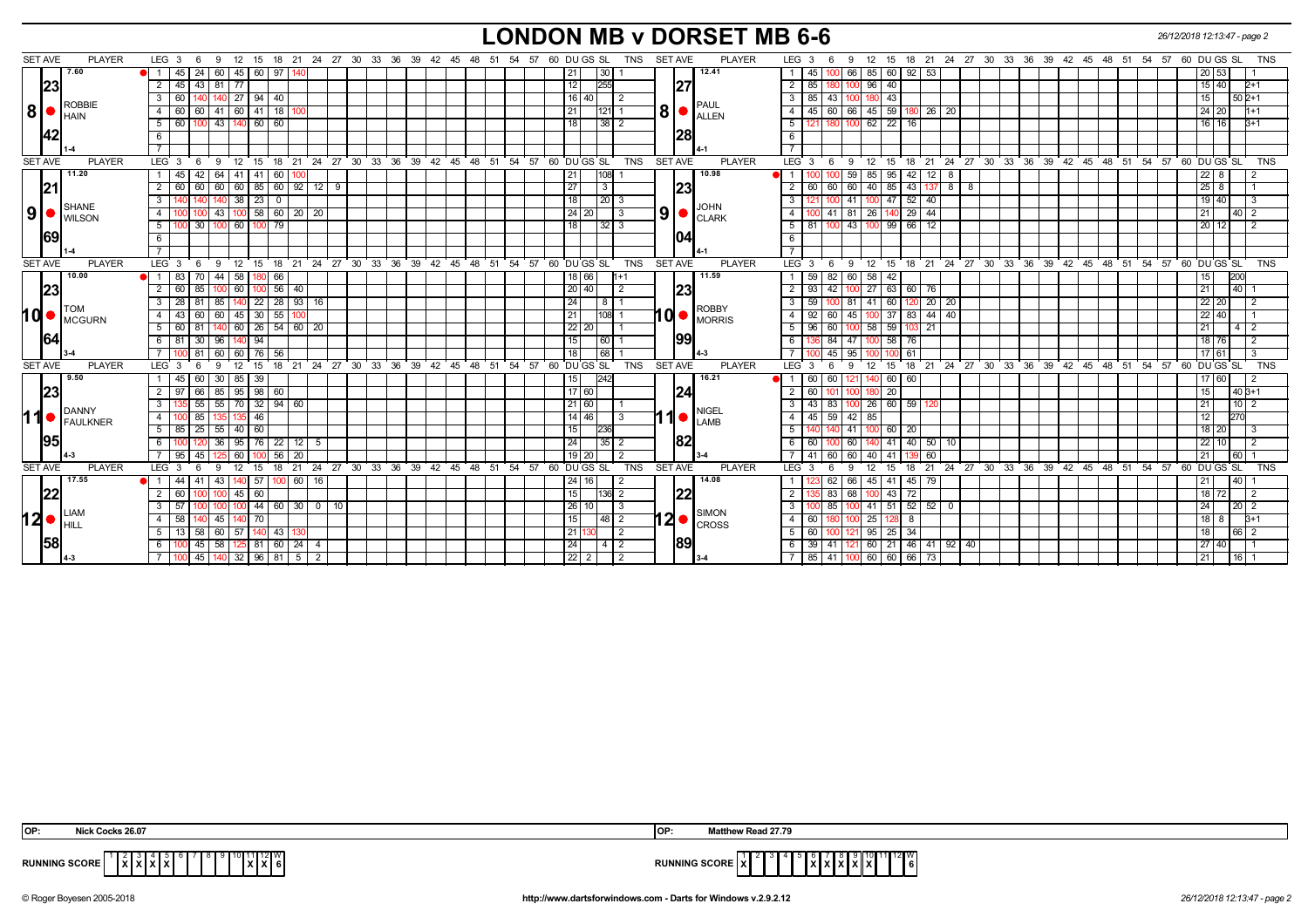# **LONDON MB v DORSET MB 6-6** *26/12/2018 12:13:47 - page 2*

| <b>SET AVE</b> | <b>PLAYER</b>                                            | LEG <sub>3</sub><br>- 6<br>- 9                    |                        | 12 15 18 21 24 27 30 33 36 39 42 45 48 51 54 57 60 DUGS SL   |                   | SET AVE<br><b>PLAYER</b><br>TNS                                        | 12 15 18 21 24 27 30 33 36 39 42 45 48 51 54 57 60 DU GS SL<br>LEG <sub>3</sub><br>TNS<br>9                                        |
|----------------|----------------------------------------------------------|---------------------------------------------------|------------------------|--------------------------------------------------------------|-------------------|------------------------------------------------------------------------|------------------------------------------------------------------------------------------------------------------------------------|
|                | 7.60                                                     | $45 \mid 24$<br>60 45 60 97                       |                        |                                                              | 21                | 12.41<br> 30                                                           | 92<br>$100$ 66<br>85 60<br>53<br>45<br>$\overline{1}$<br>20   53                                                                   |
|                | 23                                                       | $\overline{2}$<br>45<br>43<br>$81 \overline{77}$  |                        |                                                              | 12                | 255<br> 27                                                             | $\overline{2}$<br>96 40<br>85<br>15 40<br>$2+1$                                                                                    |
|                |                                                          | $27$   94   40<br>3<br>60<br>140                  |                        |                                                              | 16                | 40<br>$\vert$ 2                                                        | 180 43<br>$\mathbf{3}$<br>$85 \mid 43 \mid$<br>$1502+1$<br>15  <br>100                                                             |
| 8              | <b>ROBBIE</b>                                            | 41 60 41<br>4<br>60 I<br>60                       | - 18 I                 |                                                              | 21                | 121 1                                                                  | $45 \ 59$<br>45<br>26 20<br>$\overline{4}$<br>-60 I<br>66<br>24   20                                                               |
|                | <b>I</b> HAIN                                            | 43   140   60  <br>60<br>5                        | 60                     |                                                              | 18                | 38 2                                                                   | $62 \mid 22$<br>$\overline{5}$<br>16<br>$16$ 16                                                                                    |
|                |                                                          | 6                                                 |                        |                                                              |                   | <b>28</b>                                                              | - 6                                                                                                                                |
|                |                                                          |                                                   |                        |                                                              |                   |                                                                        |                                                                                                                                    |
| <b>SET AVE</b> | <b>PLAYER</b>                                            | LEG 3<br>9<br>6                                   |                        | 12 15 18 21 24 27 30 33 36 39 42 45 48 51 54 57 60 DUGS SL   |                   | <b>TNS</b><br><b>SET AVE</b><br><b>PLAYER</b>                          | 12 15 18 21 24 27 30 33 36 39 42 45 48 51 54 57 60 DUGS SL<br>$LEG^{\cdot}$ 3<br><b>TNS</b><br>- 6<br>9                            |
|                | 11.20                                                    | 42<br>64 41 41<br>1 <sup>1</sup><br>45            | -60 I                  |                                                              | 21                | 10.98<br>108 1                                                         | 42<br>59<br>85 95<br>1 1<br>12 I 8<br>$22 \mid 8$                                                                                  |
|                | 21                                                       | 60 60 85 60 92 12 9<br>$\overline{2}$<br>60<br>60 |                        |                                                              | 27                | 23<br>3                                                                | $-43$<br>$\overline{2}$<br>60 I<br>60<br>40 85<br>$137$ 8 8<br>25 8<br>-60 I                                                       |
|                | SHANE                                                    | 23<br>3<br>38 <sup>1</sup>                        | $\mathbf 0$            |                                                              | 18                | $\vert 20 \vert 3$                                                     | 52<br>$\overline{\mathbf{3}}$<br>41<br>47<br>19 40<br>40                                                                           |
| 9 <sub>l</sub> | <b>WILSON</b>                                            | $-43$<br>4                                        | $100$ 58 60 20 20      |                                                              |                   | $\vert 9 \vert$ $\bullet$ $\vert_{\text{CLARK}}$<br>24 20<br>$\vert$ 3 | 26 140 29 44<br>41 81<br>40<br>$\overline{4}$<br>21 <sup>1</sup>                                                                   |
|                |                                                          | $\overline{00}$ 30<br>100 60 100 79<br>5          |                        |                                                              | 18                | 32 3                                                                   | $100$ 99 66<br>81 100 43<br>5<br>$\vert$ 12<br>20 12                                                                               |
|                | 69                                                       | 6                                                 |                        |                                                              |                   | 1041                                                                   | 6                                                                                                                                  |
|                |                                                          | $7^{\circ}$                                       |                        |                                                              |                   |                                                                        | $\overline{7}$                                                                                                                     |
| <b>SET AVE</b> | <b>PLAYER</b>                                            | LEG <sub>3</sub><br>6                             |                        | 9 12 15 18 21 24 27 30 33 36 39 42 45 48 51 54 57 60 DUGS SL |                   | TNS SET AVE<br><b>PLAYER</b>                                           | $LEG \cdot 3 \cdot 6$<br>9 12 15 18 21 24 27 30 33 36 39 42 45 48 51 54 57 60 DUGSSL<br><b>TNS</b>                                 |
|                | 10.00                                                    | -83 I<br>70<br>44<br>-58  <br>DI 11               | 66                     |                                                              |                   | 11.59<br>18   66                                                       | 200<br>59<br>82<br>60<br>58 I<br>42                                                                                                |
|                | 23                                                       | 60<br>2 60<br>85<br>100                           | 56 40                  |                                                              | 20                | 23<br>40<br>$\overline{2}$                                             | $\overline{2}$<br>$27 \ 63$<br>60<br>93<br>42<br>76<br> 40 <br>21                                                                  |
|                | <b>I</b> TOM                                             | 28 I<br>3<br>81<br>85 I                           | 140 22 28 33 16        |                                                              | 24                | $8 \mid 1$<br><b>ROBBY</b>                                             | 59<br>$41 \ 60$<br>$120$ 20 $20$<br>$\mathbf{3}$<br>$100$ 81<br>22 20                                                              |
| hd•            | MCGURN                                                   | 60 45 30<br>43 <sup>1</sup><br>60<br>4            | 55                     |                                                              | 21                | 'nd<br>108 1<br><b>O</b> MORRIS                                        | 45<br>100 37<br>83<br>$44 \mid 40$<br>$\overline{4}$<br>92<br>60 l<br>22 40                                                        |
|                |                                                          | $60$   26  <br>5<br>60<br>81                      | 54   60   20           |                                                              | 22                | 20                                                                     | 5<br>96<br>58 59<br>60 l<br>21<br>21  <br>$4 \mid 2$                                                                               |
|                | 164                                                      | 81 30 96 140 94<br>6 I                            |                        |                                                              | 15                | 99<br> 60 1                                                            | $84$ 47<br>100 58 76<br>6<br>18 76                                                                                                 |
|                |                                                          | 81<br>60 60 76                                    | 56                     |                                                              | 18                | 68                                                                     | 45<br>95<br>61<br>17 61                                                                                                            |
| <b>SET AVE</b> | <b>PLAYER</b>                                            | LEG <sub>3</sub><br>12<br>15<br><b>q</b>          | 18                     | 21 24 27 30 33 36 39 42 45 48 51                             | 54 57 60 DU GS SL | <b>TNS</b><br><b>SET AVE</b><br><b>PLAYER</b>                          | LEG <sup>'</sup><br>21 24 27 30 33 36 39 42 45 48 51 54<br>$\overline{57}$ 60 DU GS SL<br>12<br>15<br>18<br><b>TNS</b><br>9<br>- 3 |
|                | 9.50                                                     | $85 \mid 39$<br>45 I<br>60<br>30 I                |                        |                                                              | 15                | 16.21<br>242                                                           | 60 60<br>140 60 60<br><b>M</b> 1<br>121<br>7 60                                                                                    |
|                | 23                                                       | 85 95 98 60<br>66                                 |                        |                                                              |                   | 24 <br> 17 60                                                          | 20<br>$40B+1$<br>60                                                                                                                |
|                | DANNY                                                    | 70 32 94 60<br>55<br>3<br>55                      |                        |                                                              |                   | 21 60 <br><b>NIGEI</b>                                                 | 26 60 59<br>43<br>1101<br>83 I<br>100                                                                                              |
| 11             | FAULKNER                                                 | $-4$<br>135 46<br>85                              |                        |                                                              |                   | 1<br>14   46 <br>$\vert$ 3<br>LAMB                                     | 45 59 42 85<br>$\overline{4}$<br>12<br>270                                                                                         |
|                |                                                          | 25<br>$55$ 40 60<br>5  <br>85 I                   |                        |                                                              | 15                | 236                                                                    | 5<br>$60$ 20<br>41<br>18 20                                                                                                        |
|                | 195                                                      | $95 \mid 76$<br>36                                | 22   12                |                                                              | 24                | 182<br>$35$   2                                                        | 40<br>6<br>60<br>60<br>41<br>50   10<br>22 10                                                                                      |
|                |                                                          | 95<br>45<br>60                                    | 56<br>20               |                                                              | 19                | 20<br>$\overline{2}$                                                   | 60<br>41<br>60<br>40 41<br>60<br>60 <sub>1</sub><br>21                                                                             |
| <b>SET AVE</b> | <b>PLAYER</b>                                            | LEG <sub>3</sub><br>12<br>15<br>- 9<br>6          |                        | 18 21 24 27 30 33 36 39 42 45 48 51 54 57 60 DUGS SL         |                   | <b>TNS</b><br>SET AVE<br><b>PLAYER</b>                                 | 18 21 24 27 30 33 36 39 42 45 48 51 54 57 60 DUGS SL<br>LEG <sub>3</sub><br>12<br>15<br><b>TNS</b><br>-9                           |
|                | 17.55                                                    | $140$ 57<br>43<br>44 I<br>41                      | $100$ 60 16            |                                                              | 24                | 14.08<br>16 I<br>$\vert$ 2                                             | 45 41 45 79<br>66<br> 40 <br>62 I<br>$\overline{1}$                                                                                |
|                | 22                                                       | 2 <sup>1</sup><br>60<br>45   60                   |                        |                                                              | 15                | 22 <br>$136$ 2                                                         | 72<br>$\overline{2}$<br>68<br>$100$ 43<br>83<br>18 72                                                                              |
|                | LIAM                                                     | 3 <sup>1</sup><br>57                              | 100 44 60 30 0<br>- 10 |                                                              | 26                | $\vert$ 3<br>10 I<br><b>SIMON</b>                                      | 85 100 41 51 52 52 0<br>$\mathbf{3}$<br>24 I<br>20 2                                                                               |
|                | $12 \bullet$ $\mathsf{H}_{\mathsf{HLL}}^{\mathsf{LIAN}}$ | $\overline{4}$<br>58<br>45<br>1401 70             |                        |                                                              | 15                | $12 \bullet$ $\frac{\text{SINION}}{\text{CROS}}$<br> 48  2             | 25<br>$\overline{4}$<br>60<br>8<br>18 I 8<br>$B+1$<br>100                                                                          |
|                |                                                          | 58<br>60 I<br>57<br>13 I<br>5                     | $-43$                  |                                                              | $\sqrt{21}$       | $\overline{2}$                                                         | 34<br>5<br>60<br>$95 \mid 25$<br>18  <br>66 <sup>1</sup>                                                                           |
|                | 58                                                       | 100 45 58 125 81 60 24 4<br>61                    |                        |                                                              | $\sqrt{24}$       | 89<br>4   2                                                            | 60   21   46   41   92   40<br>39 41 121<br>27 40<br>- 6                                                                           |
|                |                                                          | 100 45 140 32 96 81 5 2                           |                        |                                                              |                   | 22 2<br>$\sqrt{2}$                                                     | 85 41 100 60 60 66 73<br>7 <sup>1</sup><br> 16 <br>21                                                                              |

| <b>OP</b>            | 26.07 ه | <b>IOP</b>   |  |
|----------------------|---------|--------------|--|
| <b>RUNNING SCORE</b> |         | DUNINIA CAOD |  |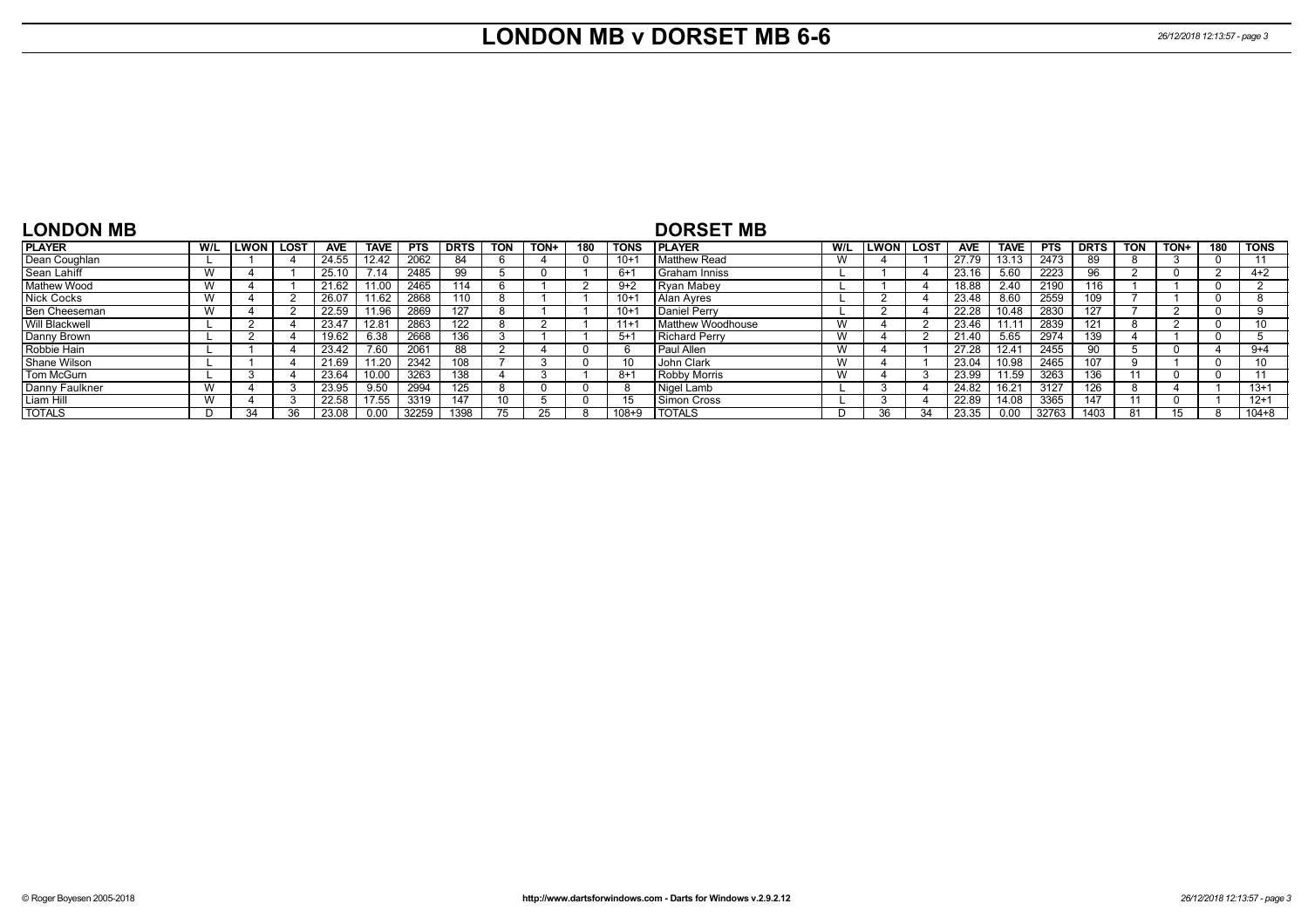## **LONDON MB v DORSET MB 6-6** *26/12/2018 12:13:57 - page 3*

| <b>LONDON MB</b>      |                           |               |             |            |             |            |             |            |      |     |             | <b>DORSET MB</b>         |     |              |             |            |                   |            |             |            |      |     |             |
|-----------------------|---------------------------|---------------|-------------|------------|-------------|------------|-------------|------------|------|-----|-------------|--------------------------|-----|--------------|-------------|------------|-------------------|------------|-------------|------------|------|-----|-------------|
| <b>PLAYER</b>         | W/L                       | <b>LWON</b> I | <b>LOST</b> | <b>AVE</b> | <b>TAVE</b> | <b>PTS</b> | <b>DRTS</b> | <b>TON</b> | TON+ | 180 | <b>TONS</b> | <b>IPLAYER</b>           | W/L | <b>ILWON</b> | <b>LOST</b> | <b>AVE</b> | <b>TAVE</b>       | <b>PTS</b> | <b>DRTS</b> | <b>TON</b> | TON+ | 180 | <b>TONS</b> |
| Dean Coughlan         |                           |               |             | 24.55      | 12.42       | 2062       | 84          |            |      |     | $10+1$      | <b>Matthew Read</b>      |     |              |             | 27.79      | 13.13             | 2473       | 89          |            |      |     |             |
| Sean Lahiff           | <b>VV</b>                 |               |             | 25.10      | 7.14        | 2485       | 99          |            |      |     | -6+         | I Graham Inniss          |     |              |             | 23.16      | 5.60              | 2223       | 96          |            |      |     | $4 + 2$     |
| <b>Mathew Wood</b>    | <b>VV</b>                 |               |             | 21.62      | 11.0u       | 2465       | 114         |            |      |     | $9+2$       | <b>Ryan Mabey</b>        |     |              |             | 18.88      | 2.40              | 2190       | 116         |            |      |     |             |
| <b>Nick Cocks</b>     |                           |               |             | 26.0       | 11.62       | 2868       | 110         |            |      |     | $10+1$      | Alan Ayres               |     |              |             | 23.48      | 8.60              | 2559       | 109         |            |      |     |             |
| Ben Cheeseman         | v v                       |               |             | 22.59      | 11.96       | 2869       | 127         |            |      |     | $10+1$      | Daniel Perry             |     |              |             | 22.28      | 10.48             | 2830       | 127         |            |      |     |             |
| <b>Will Blackwell</b> |                           |               |             | 23.4       | 12.81       | 2863       | 122         |            |      |     | $11+1$      | <b>Matthew Woodhouse</b> | W   |              |             | 23.46      | 11.1 <sup>.</sup> | 2839       | 121         |            |      |     |             |
| Danny Brown           |                           |               |             | 19.62      | 6.38        | 2668       | 136         |            |      |     | $5 + 1$     | Richard Perry            | W   |              |             | 21.40      | 5.65              | 2974       | 139         |            |      |     |             |
| Robbie Hain           |                           |               |             | 23.42      | 7.60        | 2061       | 88          |            |      |     |             | <b>Paul Allen</b>        | w   |              |             | 27.28      | $12.4^{\circ}$    | 2455       | 90          |            |      |     | $9+4$       |
| Shane Wilson          |                           |               |             | 21.69      | 11.20       | 2342       | 108         |            |      |     |             | John Clark               |     |              |             | 23.04      | 10.98             | 2465       | 107         |            |      |     |             |
| Tom McGurn            |                           |               |             | 23.64      | 10.00       | 3263       | 138         |            |      |     | 8+          | <b>Robby Morris</b>      |     |              |             | 23.99      | 11.59             | 3263       | 136         |            |      |     |             |
| Danny Faulkner        |                           |               |             | 23.95      | 9.50        | 2994       | 125         |            |      |     |             | Nigel Lamb               |     |              |             | 24.82      | 16.21             | 3127       | 126         |            |      |     | $13+1$      |
| Liam Hill             | $\mathbf{M}$<br><b>VV</b> |               |             | 22.58      | 17.55       | 3319       | 147         | 10         |      |     |             | Simon Cross              |     |              |             | 22.89      | 14.08             | 3365       | 147         |            |      |     | $12 + 1$    |
| <b>TOTALS</b>         |                           | 34            | 36          | 23.08      | 0.00        | 32259      | 1398        | 75         |      |     | $108 + 9$   | <b>TOTALS</b>            | D   | 36           | 34          | 23.35      | 0.00              | 32763      | 1403        |            |      |     | 104+8       |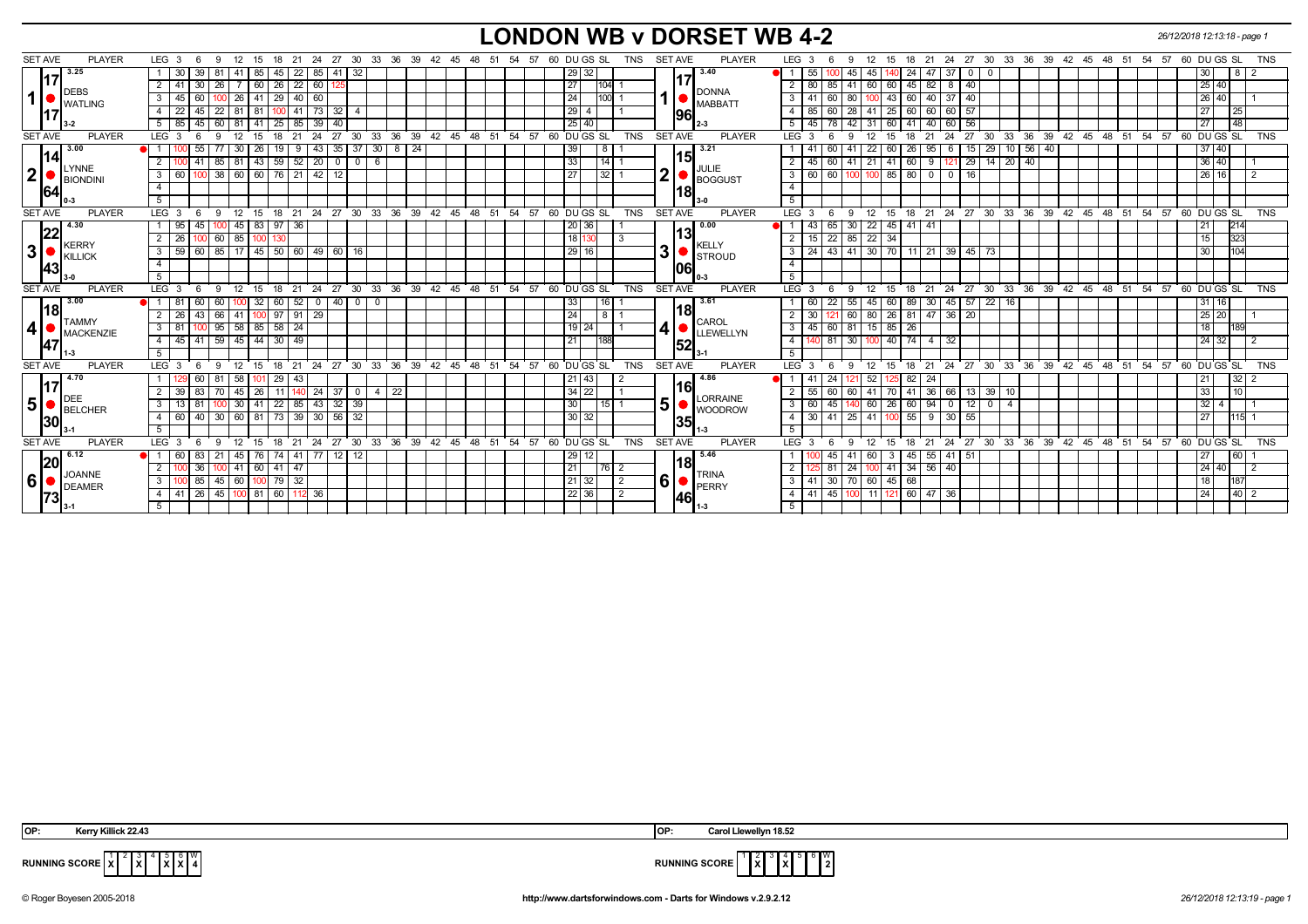## **LONDON WB v DORSET WB 4-2** *26/12/2018 12:13:18 - page 1*

| <b>PLAYER</b><br><b>SET AVE</b>   | LEG 3<br>6<br>-9<br>12                         | 18<br>21<br>24<br>15                             | 27 30 33 36 39 42 45 48 51                               | 54 57                | 60 DU GS SL<br><b>SET AVE</b><br>TNS              | <b>PLAYER</b>        | LEG 3<br>12<br>15<br>-9<br>18                         | 21 24                                              | 27 30 33 36 39 42 45 48 51 54                           | 57<br>60 DU GS SL<br><b>TNS</b>       |
|-----------------------------------|------------------------------------------------|--------------------------------------------------|----------------------------------------------------------|----------------------|---------------------------------------------------|----------------------|-------------------------------------------------------|----------------------------------------------------|---------------------------------------------------------|---------------------------------------|
| 3.25                              | 39<br>. 81                                     | 22<br>85<br>41 32<br>45<br>85                    |                                                          |                      | 29<br>32                                          | 3.40                 | 24<br>55<br>45                                        | 47 37<br>$\overline{0}$<br>- 0                     |                                                         | 8 <br>30                              |
|                                   | 2<br>30<br>-26                                 | 22<br>60<br>60<br>26                             |                                                          |                      | 27<br>104                                         |                      | 45<br>60<br>2<br>85<br>41<br>60                       | $\sqrt{40}$<br>$82$   8                            |                                                         | 25 40                                 |
| <b>DEBS</b><br>1                  | 26<br>3<br>45                                  | 41<br>29<br> 40 60                               |                                                          |                      | 24<br>100                                         | <b>DONNA</b>         | 80<br>43<br>60<br>$\mathbf{3}$<br>60<br>41            | 40<br>40 37                                        |                                                         | 26 40                                 |
| <b>I</b> WATLING                  | 22<br>45<br>22<br>  81 I<br>$\overline{4}$     | $41$ 73<br>81<br>32                              |                                                          |                      | 29<br>$\overline{4}$                              | <b>MABBATT</b><br>96 | $\overline{4}$<br>28<br>60<br>85<br>60<br>25<br>-41   | 57<br>60 I 60                                      |                                                         | 25<br>27 <sup>1</sup>                 |
|                                   | 45<br>60<br>81   41<br>5 <sub>1</sub><br>85    | 39<br> 85 <br>25<br>40                           |                                                          |                      | 25 40                                             |                      | 5<br>42<br>60<br>45<br>78<br>41<br>-31                | 56<br>40<br>$\overline{60}$                        |                                                         | <b>48</b><br>27                       |
| <b>SET AVE</b><br><b>PLAYER</b>   | LEG <sup>3</sup><br>12<br>-9                   | 24<br>27<br>15<br>18<br>21                       | 30<br>33<br>36                                           | 39 42 45 48 51 54 57 | 60 DUGS SL<br><b>TNS</b><br><b>SET AVE</b>        | <b>PLAYER</b>        | LEG <sub>3</sub><br>12<br>15<br>18<br>9               | $\overline{27}$ 30<br>24<br>33 <sup>°</sup><br>21  | 39 42 45 48 51 54 57 60 DUGS SL<br>36                   | <b>TNS</b>                            |
| 3.00                              | 55<br>30                                       | 26<br>43<br>9                                    | $35 \overline{37}$<br>30<br>$8 \mid 24$                  |                      | 39<br>8                                           | 3.21                 | 22<br>60<br>26<br>-41                                 | 29<br>95<br>15 <sup>1</sup><br>6                   | $10$ 56 40                                              | $37 \ 40$                             |
| 14                                | 2<br>41                                        | 85 81 43 59 52 20                                | $0$ 0 6                                                  |                      | 33<br>$14$ 1                                      | 151                  | $21 \mid 41 \mid 60$<br>$45 \mid 60$<br>2<br>41       | $29$ 14 20 40<br>9 121                             |                                                         | $36 \mid 40$                          |
| LYNNE<br>$\mathbf{2}$<br>BIONDINI | 3<br>60                                        | 100 38 60 60 76 21 42 12                         |                                                          |                      | $\overline{\mathbf{2}}$<br>27<br>32 1             | JULIE<br>BOGGUST     | $\overline{\mathbf{3}}$<br>$60$ 60<br>100 100 85 80   |                                                    |                                                         | 26 16                                 |
| 164                               | $\overline{4}$                                 |                                                  |                                                          |                      |                                                   | 18                   | $\overline{4}$                                        |                                                    |                                                         |                                       |
|                                   | 5 <sub>1</sub>                                 |                                                  |                                                          |                      |                                                   |                      | 5                                                     |                                                    |                                                         |                                       |
| <b>SET AVE</b><br><b>PLAYER</b>   | LEG <sub>3</sub><br>12<br>-9<br>- 6            |                                                  | 15 18 21 24 27 30 33 36 39 42 45 48 51 54 57 60 DUGS SL  |                      | <b>SET AVE</b><br><b>TNS</b>                      | <b>PLAYER</b>        | 12<br>LEG <sub>3</sub><br>9                           |                                                    | 15 18 21 24 27 30 33 36 39 42 45 48 51 54 57 60 DUGS SL | <b>TNS</b>                            |
| 4.30                              | 1 95<br>45                                     | 45   83   97   36                                |                                                          |                      | 20 36                                             | 0.00                 | $22 \mid 45 \mid 41$<br>30<br>43 65<br>H 1            | -41                                                |                                                         | 214                                   |
| 22<br><b>KERRY</b>                | 0 60 85 100 130<br>26 I<br>2 I<br>100          |                                                  |                                                          |                      | 18<br>-3                                          | 13<br><b>KELLY</b>   | $15 \mid 22 \mid 85$<br>22 34<br>$\overline{2}$       |                                                    |                                                         | 323<br>15                             |
| 3 <sup>1</sup><br>KILLICK         | 59 60 85 17 45 50 60 49<br>3 <sup>1</sup>      | 60 16                                            |                                                          |                      | 3<br> 29 <br>16                                   | <b>STROUD</b>        | $\mathbf{3}$<br>24 43 41<br>$30$ 70 11                | $21 \overline{39}$<br>$45 \mid 73$                 |                                                         | 1104<br>30                            |
| 43                                | $\overline{4}$                                 |                                                  |                                                          |                      |                                                   | 1061                 | $\overline{4}$                                        |                                                    |                                                         |                                       |
|                                   | 5                                              |                                                  |                                                          |                      |                                                   |                      | 5                                                     |                                                    |                                                         |                                       |
| <b>PLAYER</b><br><b>SET AVE</b>   | LEG <sub>3</sub><br>-9<br>$\overline{1}2$<br>6 |                                                  | 15 18 21 24 27 30 33 36 39 42 45 48 51 54 57 60 DU GS SL |                      | <b>TNS</b><br>SET AVE                             | <b>PLAYER</b>        | $LEG^{\prime}$ 3<br>12<br>9<br>15                     |                                                    | 18 21 24 27 30 33 36 39 42 45 48 51 54 57 60 DUGS SL    | <b>TNS</b>                            |
| 3.00                              | 60<br>81<br>60 I                               | 32<br>52<br>40 I<br>60 I<br>$\mathbf 0$          | $0$ 0                                                    |                      | 33<br>16                                          | 3.61                 | 22<br>55<br>60<br>89<br>45 I<br>60                    | 30   45   57<br>$\sqrt{22}$ 16                     |                                                         | 31 16                                 |
| 18 <br><b>TAMMY</b>               | $\overline{2}$<br>26<br>43                     | 66 41 100 97 91 29                               |                                                          |                      | 24<br>8                                           | 18 <br><b>CAROL</b>  | $121$ 60<br>81<br>30<br>80 26<br>$\overline{2}$       | 20<br>$47 \mid 36 \mid$                            |                                                         | 25 20                                 |
| 4 <br>MACKENZIE                   | 100 95 58 85 58 24<br>3 <sup>1</sup><br>81     |                                                  |                                                          |                      | 4<br>19<br>24                                     | LEWELLYN             | $45 \mid 60 \mid 81$<br>$15 \ 85 \ 26$<br>3           |                                                    |                                                         | 189<br>18                             |
| 47                                | $45 \mid 41$<br>4 I                            | $59$ $45$ $44$ $30$ $49$                         |                                                          |                      | 21<br>188                                         | 52                   | $140$ 81 30<br>$100$ 40 74 4 32<br>$\overline{4}$     |                                                    |                                                         | 24 32                                 |
|                                   | 5 <sup>5</sup>                                 |                                                  |                                                          |                      |                                                   |                      | 5                                                     |                                                    |                                                         |                                       |
| <b>SET AVE</b><br><b>PLAYER</b>   | LEG <sub>3</sub><br>12<br>- 9<br>15<br>- 6     | 18<br>21                                         | 24 27 30 33 36 39 42 45 48 51                            |                      | 54 57 60 DU GS SL<br><b>TNS</b><br><b>SET AVE</b> | <b>PLAYER</b>        | LEG <sup>3</sup><br>9<br>12<br>15<br>18               |                                                    | 21 24 27 30 33 36 39 42 45 48 51 54                     | 57 60 DU GS SL<br><b>TNS</b>          |
| 4.70                              | 58                                             | 29<br>43                                         |                                                          |                      | 21<br>43                                          | 4.86<br>l16l         | 82<br>-41                                             | 24                                                 |                                                         | 32 <sub>1</sub>                       |
| DEE                               | 45<br>2<br>39<br>83                            | $\sqrt{24}$<br>26<br>- 11 I                      | $37$ 0<br>4 <sup>1</sup><br>22                           |                      | $34 \mid 22$                                      | <b>LORRAINE</b>      | 55<br>60<br>41<br>70<br>41<br>$\overline{2}$<br>60    | $13$ 39 10<br>36   66                              |                                                         | 110<br>33                             |
| 5 <sup>1</sup><br>BELCHER         | 30   41<br>$\overline{3}$<br>13 <sup>1</sup>   | $\sqrt{43}$<br>$22 \mid 85 \mid$<br>$32 \mid 39$ |                                                          |                      | 5<br>30<br>$15$   1                               | <b>WOODROW</b>       | 60<br>$\overline{\mathbf{3}}$<br>26<br>45<br>60<br>60 | $\overline{12}$<br>$94$ 0<br>$\sqrt{0}$ $\sqrt{4}$ |                                                         | $32 \mid 4 \mid$                      |
| 30                                | $4 \overline{60}$<br>40<br>30   60   81        | 73 39 30<br>56 32                                |                                                          |                      | 30 32                                             | 35                   | 41 100 55<br>30   41   25<br>$\sqrt{4}$               | 55<br>$9 \mid 30$                                  |                                                         | 115<br>27 <sup>1</sup>                |
|                                   | 5                                              |                                                  |                                                          |                      |                                                   |                      | 5                                                     |                                                    |                                                         |                                       |
| <b>SET AVE</b><br><b>PLAYER</b>   | LEG <sub>3</sub><br>-9<br>12                   | 24<br>27 30<br>15<br>18<br>21                    | $36 \quad 39 \quad 42 \quad 45$<br>33                    | 48<br>51<br>54 57    | 60 DU GS SL<br><b>TNS</b><br><b>SET AVE</b>       | <b>PLAYER</b>        | $LEG$ 3<br>12<br>15<br>18<br>-9                       | 21 24 27 30                                        | 33 36 39 42<br>45 48 51                                 | 60 DU GS SL<br>54<br>57<br><b>TNS</b> |
| 6.12                              | 83<br>-60<br>-21<br>45                         | 76<br>77<br>74<br>  41  <br>$12 \mid 12$         |                                                          |                      | 29<br>12                                          | 5.46                 | 45<br>60<br>3                                         | $55 \mid 41$<br>51                                 |                                                         | 60                                    |
| 20<br><b>JOANNE</b>               | 36<br>2                                        | 41 60 41 47                                      |                                                          |                      | 21<br> 76 2                                       | 18 <br><b>TRINA</b>  | $100$ 41 34 56 40<br>2<br>24<br>81                    |                                                    |                                                         | 24 40                                 |
| 6 <sup>1</sup><br>DEAMER          | 00 85<br>3 <sup>1</sup>                        | 45 60 100 79 32                                  |                                                          |                      | 6<br>21<br>32<br>$\vert$ 2                        | $\bullet$   PERRY    | 3<br>41 30 70 60 45 68                                |                                                    |                                                         | 187<br>18 l                           |
| 1731                              | 41   26   45   100   81   60   112   36<br>4 I |                                                  |                                                          |                      | 22 36 <br>$\vert$ 2                               | 146I                 | 41 45 100 11 121 60 47 36<br>$\overline{4}$           |                                                    |                                                         | 40 <sup>2</sup><br>24                 |
|                                   |                                                |                                                  |                                                          |                      |                                                   |                      |                                                       |                                                    |                                                         |                                       |

 $2 \sqrt{3}$ **X** 5 **X** 6 **X** W



**RUNNING SCORE**  $\overline{X}$